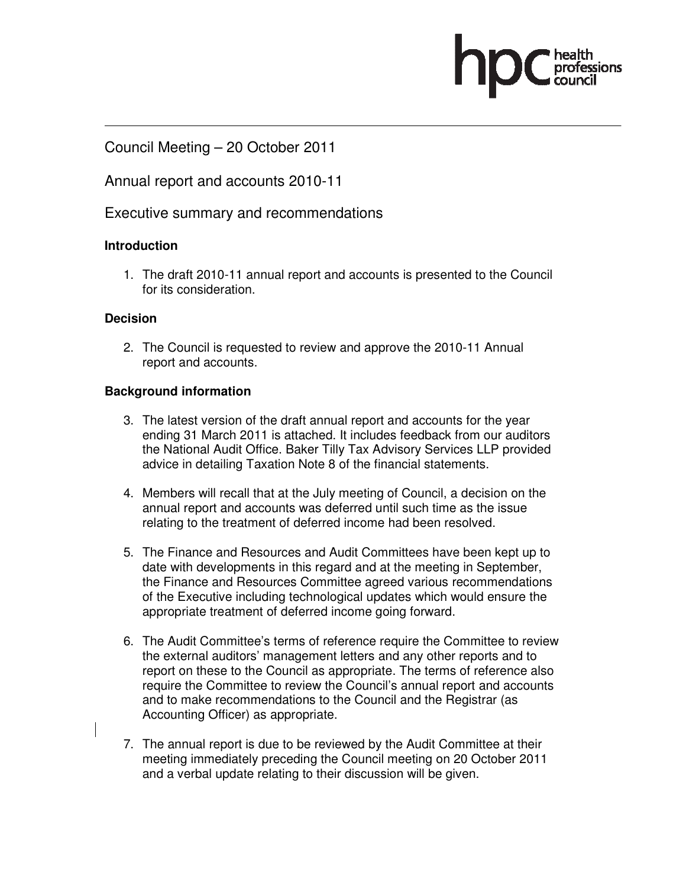## Council Meeting – 20 October 2011

## Annual report and accounts 2010-11

## Executive summary and recommendations

#### **Introduction**

1. The draft 2010-11 annual report and accounts is presented to the Council for its consideration.

#### **Decision**

2. The Council is requested to review and approve the 2010-11 Annual report and accounts.

#### **Background information**

- 3. The latest version of the draft annual report and accounts for the year ending 31 March 2011 is attached. It includes feedback from our auditors the National Audit Office. Baker Tilly Tax Advisory Services LLP provided advice in detailing Taxation Note 8 of the financial statements.
- 4. Members will recall that at the July meeting of Council, a decision on the annual report and accounts was deferred until such time as the issue relating to the treatment of deferred income had been resolved.
- 5. The Finance and Resources and Audit Committees have been kept up to date with developments in this regard and at the meeting in September, the Finance and Resources Committee agreed various recommendations of the Executive including technological updates which would ensure the appropriate treatment of deferred income going forward.
- 6. The Audit Committee's terms of reference require the Committee to review the external auditors' management letters and any other reports and to report on these to the Council as appropriate. The terms of reference also require the Committee to review the Council's annual report and accounts and to make recommendations to the Council and the Registrar (as Accounting Officer) as appropriate.
- 7. The annual report is due to be reviewed by the Audit Committee at their meeting immediately preceding the Council meeting on 20 October 2011 and a verbal update relating to their discussion will be given.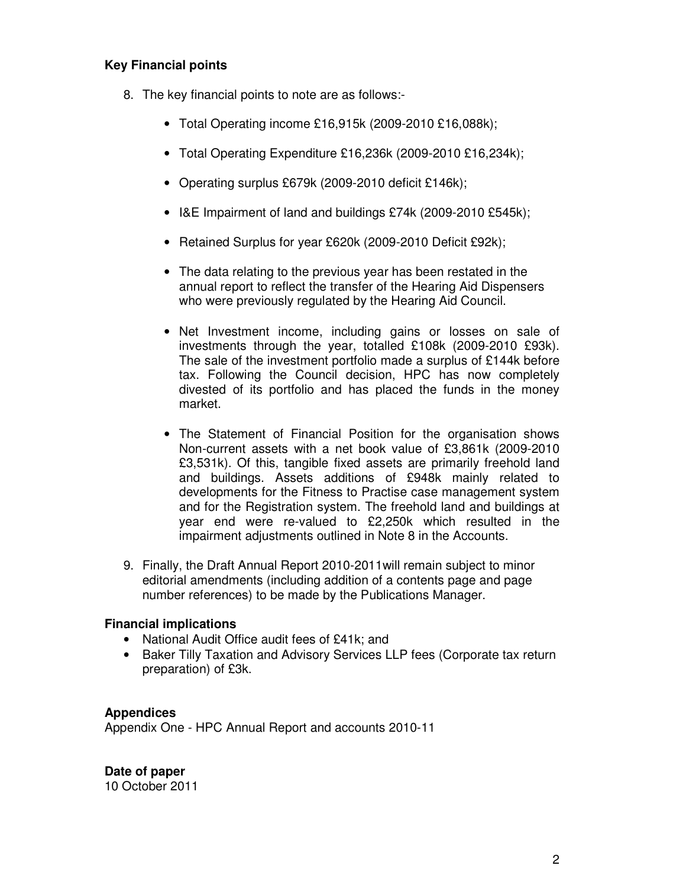## **Key Financial points**

- 8. The key financial points to note are as follows:-
	- Total Operating income £16,915k (2009-2010 £16,088k);
	- Total Operating Expenditure £16,236k (2009-2010 £16,234k);
	- Operating surplus £679k (2009-2010 deficit £146k);
	- I&E Impairment of land and buildings £74k (2009-2010 £545k);
	- Retained Surplus for year £620k (2009-2010 Deficit £92k);
	- The data relating to the previous year has been restated in the annual report to reflect the transfer of the Hearing Aid Dispensers who were previously regulated by the Hearing Aid Council.
	- Net Investment income, including gains or losses on sale of investments through the year, totalled £108k (2009-2010 £93k). The sale of the investment portfolio made a surplus of £144k before tax. Following the Council decision, HPC has now completely divested of its portfolio and has placed the funds in the money market.
	- The Statement of Financial Position for the organisation shows Non-current assets with a net book value of £3,861k (2009-2010 £3,531k). Of this, tangible fixed assets are primarily freehold land and buildings. Assets additions of £948k mainly related to developments for the Fitness to Practise case management system and for the Registration system. The freehold land and buildings at year end were re-valued to £2,250k which resulted in the impairment adjustments outlined in Note 8 in the Accounts.
- 9. Finally, the Draft Annual Report 2010-2011will remain subject to minor editorial amendments (including addition of a contents page and page number references) to be made by the Publications Manager.

## **Financial implications**

- National Audit Office audit fees of £41k; and
- Baker Tilly Taxation and Advisory Services LLP fees (Corporate tax return preparation) of £3k.

## **Appendices**

Appendix One - HPC Annual Report and accounts 2010-11

**Date of paper**  10 October 2011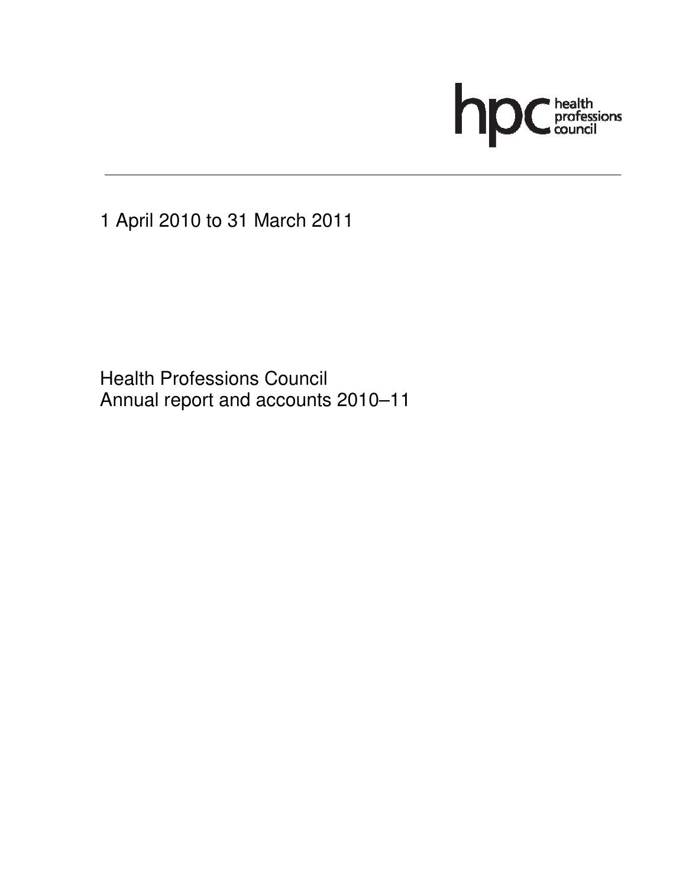

1 April 2010 to 31 March 2011

 Health Professions Council Annual report and accounts 2010–11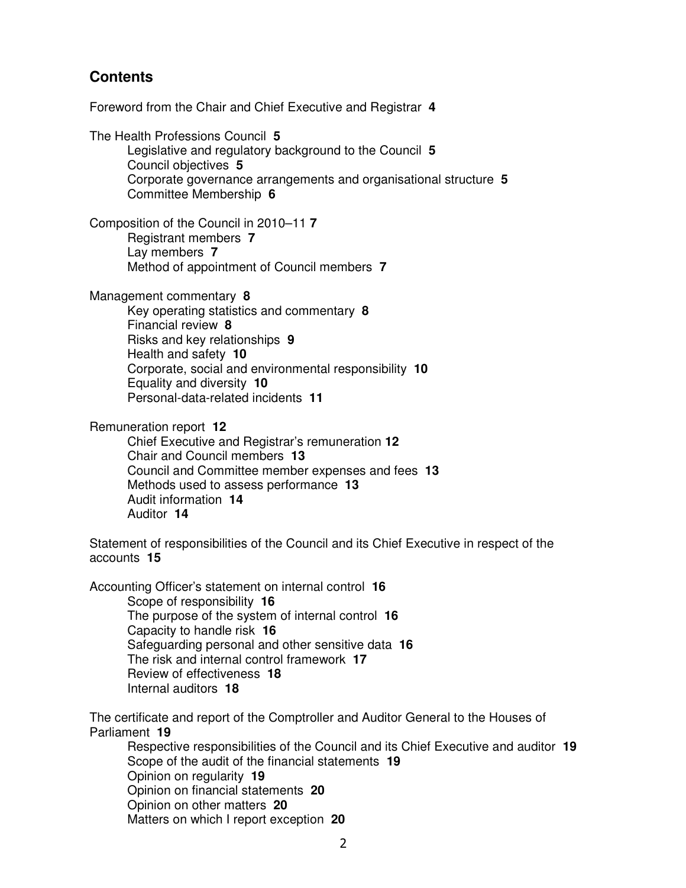## **Contents**

Foreword from the Chair and Chief Executive and Registrar **4**

The Health Professions Council **5** Legislative and regulatory background to the Council **5** Council objectives **5** Corporate governance arrangements and organisational structure **5**  Committee Membership **6** 

Composition of the Council in 2010–11 **7** Registrant members **7**  Lay members **7**  Method of appointment of Council members **7** 

Management commentary **8**

Key operating statistics and commentary **8**  Financial review **8** Risks and key relationships **9**  Health and safety **10**  Corporate, social and environmental responsibility **10**  Equality and diversity **10**  Personal-data-related incidents **11** 

Remuneration report **12** 

Chief Executive and Registrar's remuneration **12**  Chair and Council members **13** Council and Committee member expenses and fees **13**  Methods used to assess performance **13**  Audit information **14**  Auditor **14** 

Statement of responsibilities of the Council and its Chief Executive in respect of the accounts **15** 

Accounting Officer's statement on internal control **16**  Scope of responsibility **16**  The purpose of the system of internal control **16**  Capacity to handle risk **16**  Safeguarding personal and other sensitive data **16**  The risk and internal control framework **17**  Review of effectiveness **18**  Internal auditors **18** 

The certificate and report of the Comptroller and Auditor General to the Houses of Parliament **19** 

Respective responsibilities of the Council and its Chief Executive and auditor **19**  Scope of the audit of the financial statements **19** Opinion on regularity **19** Opinion on financial statements **20** Opinion on other matters **20** Matters on which I report exception **20**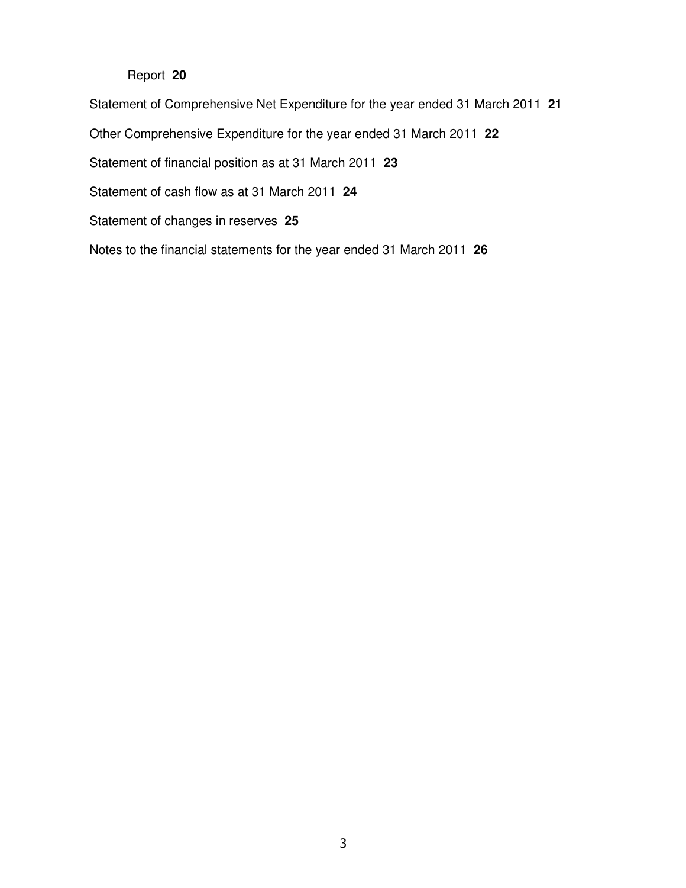## Report **20**

Statement of Comprehensive Net Expenditure for the year ended 31 March 2011 **21** 

Other Comprehensive Expenditure for the year ended 31 March 2011 **22**

Statement of financial position as at 31 March 2011 **23** 

Statement of cash flow as at 31 March 2011 **24** 

Statement of changes in reserves **25**

Notes to the financial statements for the year ended 31 March 2011 **26**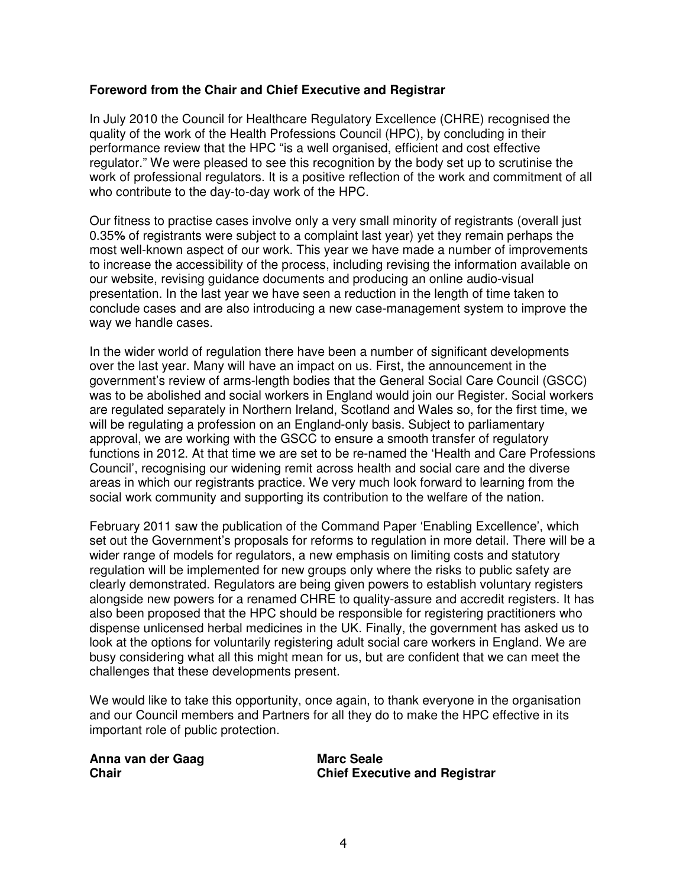## **Foreword from the Chair and Chief Executive and Registrar**

In July 2010 the Council for Healthcare Regulatory Excellence (CHRE) recognised the quality of the work of the Health Professions Council (HPC), by concluding in their performance review that the HPC "is a well organised, efficient and cost effective regulator." We were pleased to see this recognition by the body set up to scrutinise the work of professional regulators. It is a positive reflection of the work and commitment of all who contribute to the day-to-day work of the HPC.

Our fitness to practise cases involve only a very small minority of registrants (overall just 0.35**%** of registrants were subject to a complaint last year) yet they remain perhaps the most well-known aspect of our work. This year we have made a number of improvements to increase the accessibility of the process, including revising the information available on our website, revising guidance documents and producing an online audio-visual presentation. In the last year we have seen a reduction in the length of time taken to conclude cases and are also introducing a new case-management system to improve the way we handle cases.

In the wider world of regulation there have been a number of significant developments over the last year. Many will have an impact on us. First, the announcement in the government's review of arms-length bodies that the General Social Care Council (GSCC) was to be abolished and social workers in England would join our Register. Social workers are regulated separately in Northern Ireland, Scotland and Wales so, for the first time, we will be regulating a profession on an England-only basis. Subject to parliamentary approval, we are working with the GSCC to ensure a smooth transfer of regulatory functions in 2012. At that time we are set to be re-named the 'Health and Care Professions Council', recognising our widening remit across health and social care and the diverse areas in which our registrants practice. We very much look forward to learning from the social work community and supporting its contribution to the welfare of the nation.

February 2011 saw the publication of the Command Paper 'Enabling Excellence', which set out the Government's proposals for reforms to regulation in more detail. There will be a wider range of models for regulators, a new emphasis on limiting costs and statutory regulation will be implemented for new groups only where the risks to public safety are clearly demonstrated. Regulators are being given powers to establish voluntary registers alongside new powers for a renamed CHRE to quality-assure and accredit registers. It has also been proposed that the HPC should be responsible for registering practitioners who dispense unlicensed herbal medicines in the UK. Finally, the government has asked us to look at the options for voluntarily registering adult social care workers in England. We are busy considering what all this might mean for us, but are confident that we can meet the challenges that these developments present.

We would like to take this opportunity, once again, to thank everyone in the organisation and our Council members and Partners for all they do to make the HPC effective in its important role of public protection.

| Anna van der Gaag | <b>Marc Seale</b>                    |
|-------------------|--------------------------------------|
| Chair             | <b>Chief Executive and Registrar</b> |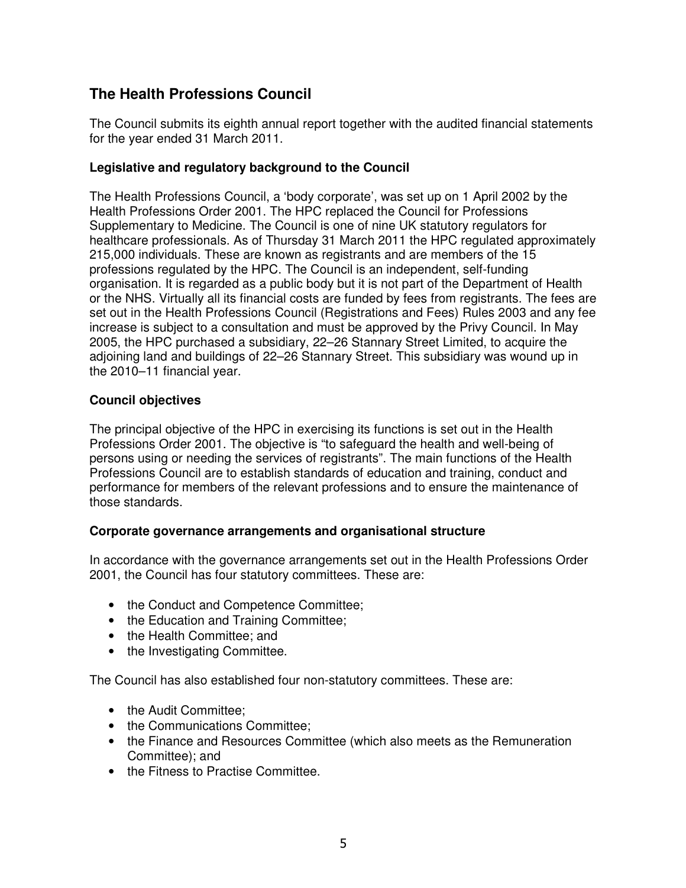# **The Health Professions Council**

The Council submits its eighth annual report together with the audited financial statements for the year ended 31 March 2011.

## **Legislative and regulatory background to the Council**

The Health Professions Council, a 'body corporate', was set up on 1 April 2002 by the Health Professions Order 2001. The HPC replaced the Council for Professions Supplementary to Medicine. The Council is one of nine UK statutory regulators for healthcare professionals. As of Thursday 31 March 2011 the HPC regulated approximately 215,000 individuals. These are known as registrants and are members of the 15 professions regulated by the HPC. The Council is an independent, self-funding organisation. It is regarded as a public body but it is not part of the Department of Health or the NHS. Virtually all its financial costs are funded by fees from registrants. The fees are set out in the Health Professions Council (Registrations and Fees) Rules 2003 and any fee increase is subject to a consultation and must be approved by the Privy Council. In May 2005, the HPC purchased a subsidiary, 22–26 Stannary Street Limited, to acquire the adjoining land and buildings of 22–26 Stannary Street. This subsidiary was wound up in the 2010–11 financial year.

## **Council objectives**

The principal objective of the HPC in exercising its functions is set out in the Health Professions Order 2001. The objective is "to safeguard the health and well-being of persons using or needing the services of registrants". The main functions of the Health Professions Council are to establish standards of education and training, conduct and performance for members of the relevant professions and to ensure the maintenance of those standards.

#### **Corporate governance arrangements and organisational structure**

In accordance with the governance arrangements set out in the Health Professions Order 2001, the Council has four statutory committees. These are:

- the Conduct and Competence Committee;
- the Education and Training Committee;
- the Health Committee; and
- the Investigating Committee.

The Council has also established four non-statutory committees. These are:

- the Audit Committee:
- the Communications Committee:
- the Finance and Resources Committee (which also meets as the Remuneration Committee); and
- the Fitness to Practise Committee.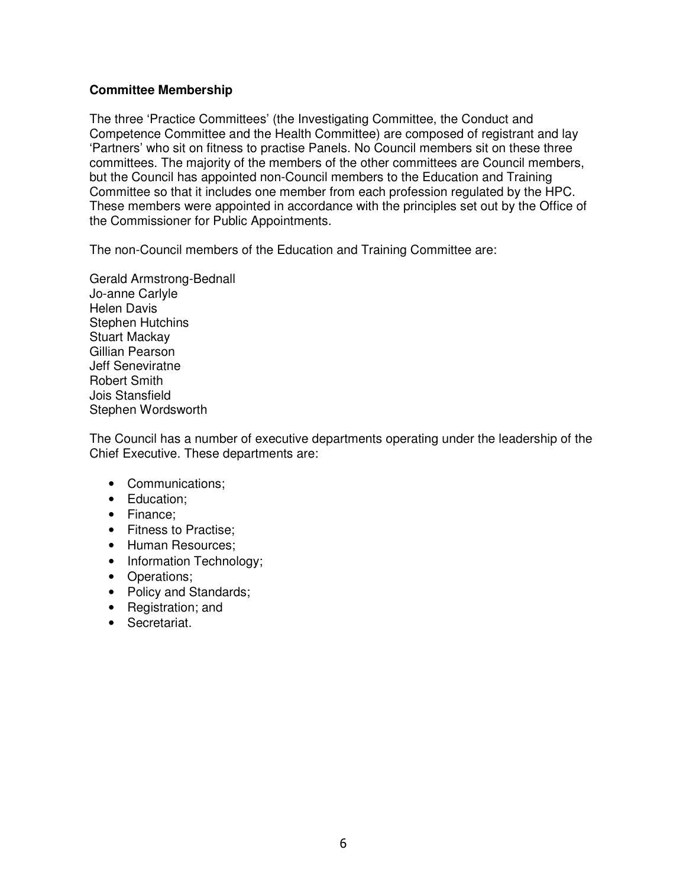## **Committee Membership**

The three 'Practice Committees' (the Investigating Committee, the Conduct and Competence Committee and the Health Committee) are composed of registrant and lay 'Partners' who sit on fitness to practise Panels. No Council members sit on these three committees. The majority of the members of the other committees are Council members, but the Council has appointed non-Council members to the Education and Training Committee so that it includes one member from each profession regulated by the HPC. These members were appointed in accordance with the principles set out by the Office of the Commissioner for Public Appointments.

The non-Council members of the Education and Training Committee are:

Gerald Armstrong-Bednall Jo-anne Carlyle Helen Davis Stephen Hutchins Stuart Mackay Gillian Pearson Jeff Seneviratne Robert Smith Jois Stansfield Stephen Wordsworth

The Council has a number of executive departments operating under the leadership of the Chief Executive. These departments are:

- Communications;
- Education;
- Finance;
- Fitness to Practise:
- Human Resources;
- Information Technology;
- Operations;
- Policy and Standards;
- Registration; and
- Secretariat.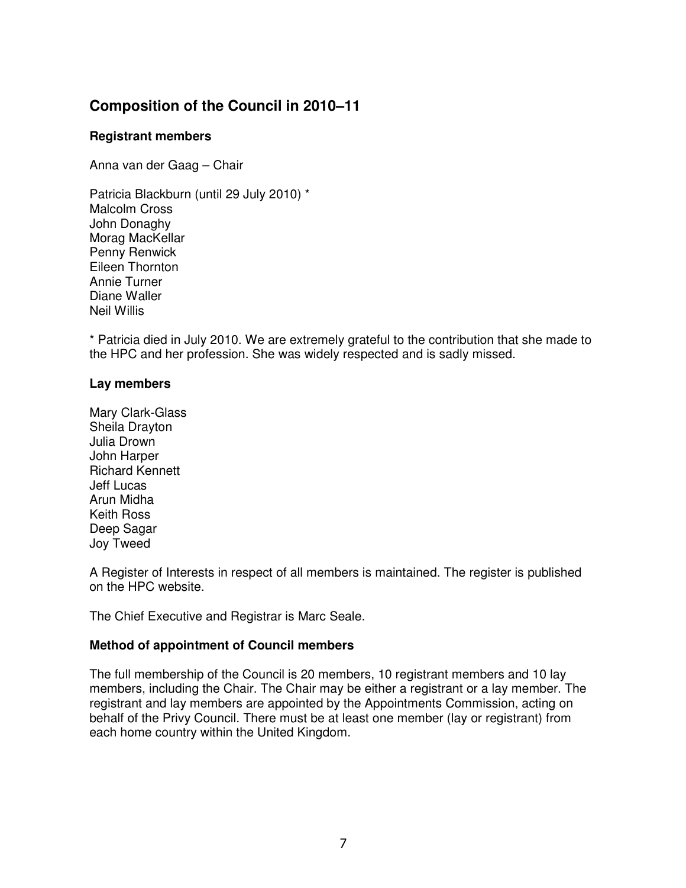# **Composition of the Council in 2010–11**

## **Registrant members**

Anna van der Gaag – Chair

Patricia Blackburn (until 29 July 2010) \* Malcolm Cross John Donaghy Morag MacKellar Penny Renwick Eileen Thornton Annie Turner Diane Waller Neil Willis

\* Patricia died in July 2010. We are extremely grateful to the contribution that she made to the HPC and her profession. She was widely respected and is sadly missed.

## **Lay members**

Mary Clark-Glass Sheila Drayton Julia Drown John Harper Richard Kennett Jeff Lucas Arun Midha Keith Ross Deep Sagar Joy Tweed

A Register of Interests in respect of all members is maintained. The register is published on the HPC website.

The Chief Executive and Registrar is Marc Seale.

## **Method of appointment of Council members**

The full membership of the Council is 20 members, 10 registrant members and 10 lay members, including the Chair. The Chair may be either a registrant or a lay member. The registrant and lay members are appointed by the Appointments Commission, acting on behalf of the Privy Council. There must be at least one member (lay or registrant) from each home country within the United Kingdom.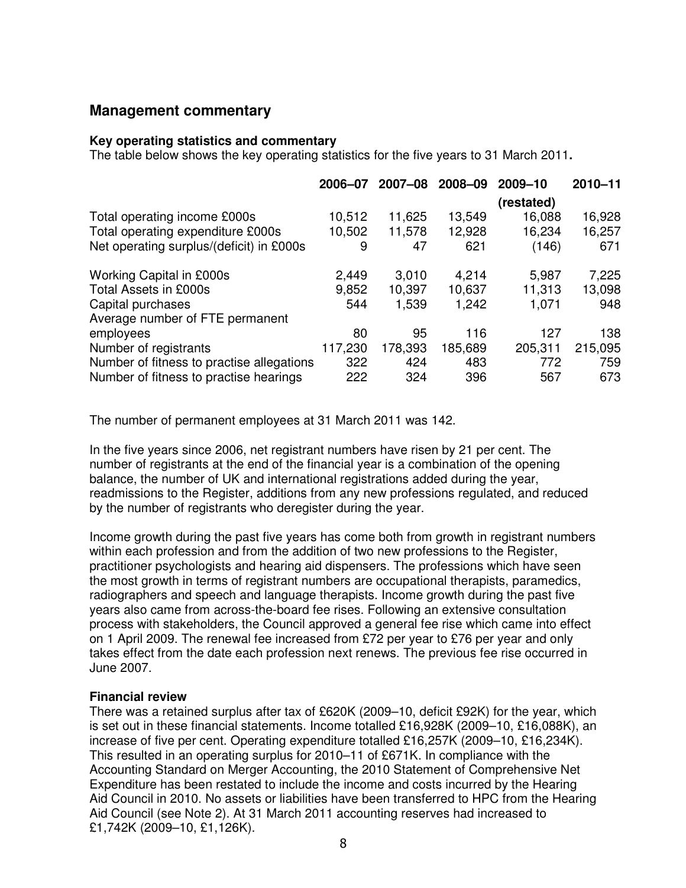## **Management commentary**

#### **Key operating statistics and commentary**

The table below shows the key operating statistics for the five years to 31 March 2011**.** 

|                                           | 2006-07 | 2007-08 | 2008-09 | 2009-10    | $2010 - 11$ |
|-------------------------------------------|---------|---------|---------|------------|-------------|
|                                           |         |         |         | (restated) |             |
| Total operating income £000s              | 10,512  | 11,625  | 13,549  | 16,088     | 16,928      |
| Total operating expenditure £000s         | 10,502  | 11,578  | 12,928  | 16,234     | 16,257      |
| Net operating surplus/(deficit) in £000s  | 9       | 47      | 621     | (146)      | 671         |
| <b>Working Capital in £000s</b>           | 2,449   | 3,010   | 4,214   | 5,987      | 7,225       |
| Total Assets in £000s                     | 9,852   | 10,397  | 10.637  | 11,313     | 13,098      |
| Capital purchases                         | 544     | 1,539   | 1,242   | 1,071      | 948         |
| Average number of FTE permanent           |         |         |         |            |             |
| employees                                 | 80      | 95      | 116     | 127        | 138         |
| Number of registrants                     | 117,230 | 178,393 | 185,689 | 205,311    | 215,095     |
| Number of fitness to practise allegations | 322     | 424     | 483     | 772        | 759         |
| Number of fitness to practise hearings    | 222     | 324     | 396     | 567        | 673         |

The number of permanent employees at 31 March 2011 was 142.

In the five years since 2006, net registrant numbers have risen by 21 per cent. The number of registrants at the end of the financial year is a combination of the opening balance, the number of UK and international registrations added during the year, readmissions to the Register, additions from any new professions regulated, and reduced by the number of registrants who deregister during the year.

Income growth during the past five years has come both from growth in registrant numbers within each profession and from the addition of two new professions to the Register, practitioner psychologists and hearing aid dispensers. The professions which have seen the most growth in terms of registrant numbers are occupational therapists, paramedics, radiographers and speech and language therapists. Income growth during the past five years also came from across-the-board fee rises. Following an extensive consultation process with stakeholders, the Council approved a general fee rise which came into effect on 1 April 2009. The renewal fee increased from £72 per year to £76 per year and only takes effect from the date each profession next renews. The previous fee rise occurred in June 2007.

#### **Financial review**

There was a retained surplus after tax of £620K (2009–10, deficit £92K) for the year, which is set out in these financial statements. Income totalled £16,928K (2009–10, £16,088K), an increase of five per cent. Operating expenditure totalled £16,257K (2009–10, £16,234K). This resulted in an operating surplus for 2010–11 of £671K. In compliance with the Accounting Standard on Merger Accounting, the 2010 Statement of Comprehensive Net Expenditure has been restated to include the income and costs incurred by the Hearing Aid Council in 2010. No assets or liabilities have been transferred to HPC from the Hearing Aid Council (see Note 2). At 31 March 2011 accounting reserves had increased to £1,742K (2009–10, £1,126K).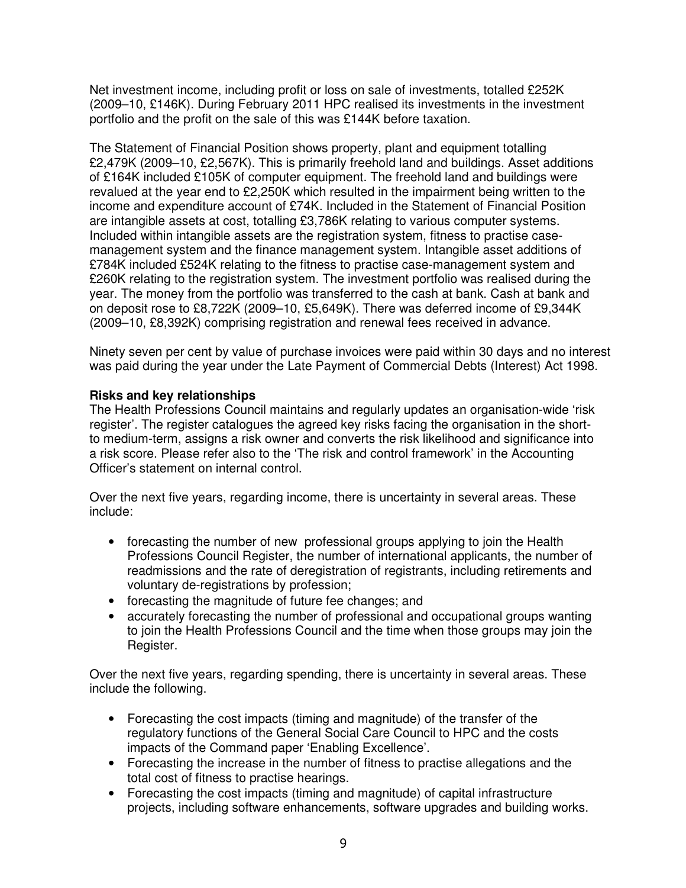Net investment income, including profit or loss on sale of investments, totalled £252K (2009–10, £146K). During February 2011 HPC realised its investments in the investment portfolio and the profit on the sale of this was £144K before taxation.

The Statement of Financial Position shows property, plant and equipment totalling £2,479K (2009–10, £2,567K). This is primarily freehold land and buildings. Asset additions of £164K included £105K of computer equipment. The freehold land and buildings were revalued at the year end to £2,250K which resulted in the impairment being written to the income and expenditure account of £74K. Included in the Statement of Financial Position are intangible assets at cost, totalling £3,786K relating to various computer systems. Included within intangible assets are the registration system, fitness to practise casemanagement system and the finance management system. Intangible asset additions of £784K included £524K relating to the fitness to practise case-management system and £260K relating to the registration system. The investment portfolio was realised during the year. The money from the portfolio was transferred to the cash at bank. Cash at bank and on deposit rose to £8,722K (2009–10, £5,649K). There was deferred income of £9,344K (2009–10, £8,392K) comprising registration and renewal fees received in advance.

Ninety seven per cent by value of purchase invoices were paid within 30 days and no interest was paid during the year under the Late Payment of Commercial Debts (Interest) Act 1998.

#### **Risks and key relationships**

The Health Professions Council maintains and regularly updates an organisation-wide 'risk register'. The register catalogues the agreed key risks facing the organisation in the shortto medium-term, assigns a risk owner and converts the risk likelihood and significance into a risk score. Please refer also to the 'The risk and control framework' in the Accounting Officer's statement on internal control.

Over the next five years, regarding income, there is uncertainty in several areas. These include:

- forecasting the number of new professional groups applying to join the Health Professions Council Register, the number of international applicants, the number of readmissions and the rate of deregistration of registrants, including retirements and voluntary de-registrations by profession;
- forecasting the magnitude of future fee changes; and
- accurately forecasting the number of professional and occupational groups wanting to join the Health Professions Council and the time when those groups may join the Register.

Over the next five years, regarding spending, there is uncertainty in several areas. These include the following.

- Forecasting the cost impacts (timing and magnitude) of the transfer of the regulatory functions of the General Social Care Council to HPC and the costs impacts of the Command paper 'Enabling Excellence'.
- Forecasting the increase in the number of fitness to practise allegations and the total cost of fitness to practise hearings.
- Forecasting the cost impacts (timing and magnitude) of capital infrastructure projects, including software enhancements, software upgrades and building works.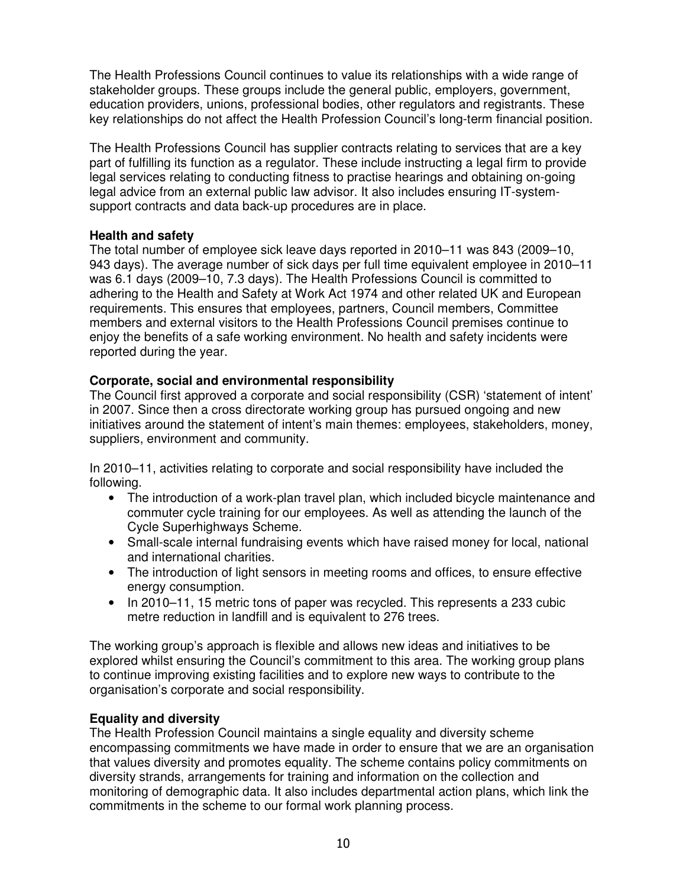The Health Professions Council continues to value its relationships with a wide range of stakeholder groups. These groups include the general public, employers, government, education providers, unions, professional bodies, other regulators and registrants. These key relationships do not affect the Health Profession Council's long-term financial position.

The Health Professions Council has supplier contracts relating to services that are a key part of fulfilling its function as a regulator. These include instructing a legal firm to provide legal services relating to conducting fitness to practise hearings and obtaining on-going legal advice from an external public law advisor. It also includes ensuring IT-systemsupport contracts and data back-up procedures are in place.

## **Health and safety**

The total number of employee sick leave days reported in 2010–11 was 843 (2009–10, 943 days). The average number of sick days per full time equivalent employee in 2010–11 was 6.1 days (2009–10, 7.3 days). The Health Professions Council is committed to adhering to the Health and Safety at Work Act 1974 and other related UK and European requirements. This ensures that employees, partners, Council members, Committee members and external visitors to the Health Professions Council premises continue to enjoy the benefits of a safe working environment. No health and safety incidents were reported during the year.

## **Corporate, social and environmental responsibility**

The Council first approved a corporate and social responsibility (CSR) 'statement of intent' in 2007. Since then a cross directorate working group has pursued ongoing and new initiatives around the statement of intent's main themes: employees, stakeholders, money, suppliers, environment and community.

In 2010–11, activities relating to corporate and social responsibility have included the following.

- The introduction of a work-plan travel plan, which included bicycle maintenance and commuter cycle training for our employees. As well as attending the launch of the Cycle Superhighways Scheme.
- Small-scale internal fundraising events which have raised money for local, national and international charities.
- The introduction of light sensors in meeting rooms and offices, to ensure effective energy consumption.
- In 2010–11, 15 metric tons of paper was recycled. This represents a 233 cubic metre reduction in landfill and is equivalent to 276 trees.

The working group's approach is flexible and allows new ideas and initiatives to be explored whilst ensuring the Council's commitment to this area. The working group plans to continue improving existing facilities and to explore new ways to contribute to the organisation's corporate and social responsibility.

## **Equality and diversity**

The Health Profession Council maintains a single equality and diversity scheme encompassing commitments we have made in order to ensure that we are an organisation that values diversity and promotes equality. The scheme contains policy commitments on diversity strands, arrangements for training and information on the collection and monitoring of demographic data. It also includes departmental action plans, which link the commitments in the scheme to our formal work planning process.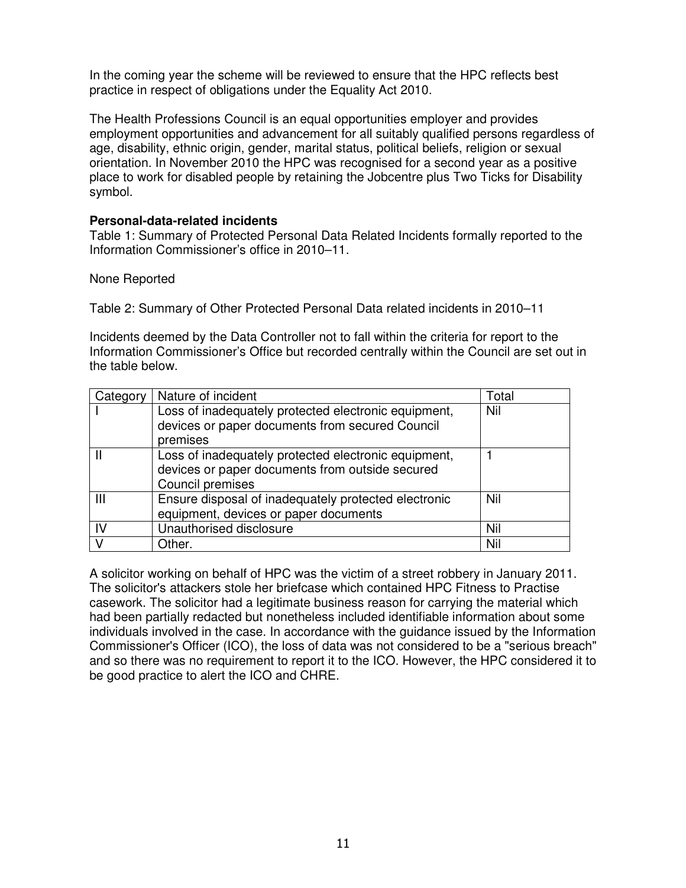In the coming year the scheme will be reviewed to ensure that the HPC reflects best practice in respect of obligations under the Equality Act 2010.

The Health Professions Council is an equal opportunities employer and provides employment opportunities and advancement for all suitably qualified persons regardless of age, disability, ethnic origin, gender, marital status, political beliefs, religion or sexual orientation. In November 2010 the HPC was recognised for a second year as a positive place to work for disabled people by retaining the Jobcentre plus Two Ticks for Disability symbol.

#### **Personal-data-related incidents**

Table 1: Summary of Protected Personal Data Related Incidents formally reported to the Information Commissioner's office in 2010–11.

#### None Reported

Table 2: Summary of Other Protected Personal Data related incidents in 2010–11

Incidents deemed by the Data Controller not to fall within the criteria for report to the Information Commissioner's Office but recorded centrally within the Council are set out in the table below.

| Category | Nature of incident                                                                                                          | Total |
|----------|-----------------------------------------------------------------------------------------------------------------------------|-------|
|          | Loss of inadequately protected electronic equipment,<br>devices or paper documents from secured Council<br>premises         | Nil   |
|          | Loss of inadequately protected electronic equipment,<br>devices or paper documents from outside secured<br>Council premises |       |
| Ш        | Ensure disposal of inadequately protected electronic<br>equipment, devices or paper documents                               | Nil   |
| -lV      | Unauthorised disclosure                                                                                                     | Nil   |
| V        | Other.                                                                                                                      | Nil   |

A solicitor working on behalf of HPC was the victim of a street robbery in January 2011. The solicitor's attackers stole her briefcase which contained HPC Fitness to Practise casework. The solicitor had a legitimate business reason for carrying the material which had been partially redacted but nonetheless included identifiable information about some individuals involved in the case. In accordance with the guidance issued by the Information Commissioner's Officer (ICO), the loss of data was not considered to be a "serious breach" and so there was no requirement to report it to the ICO. However, the HPC considered it to be good practice to alert the ICO and CHRE.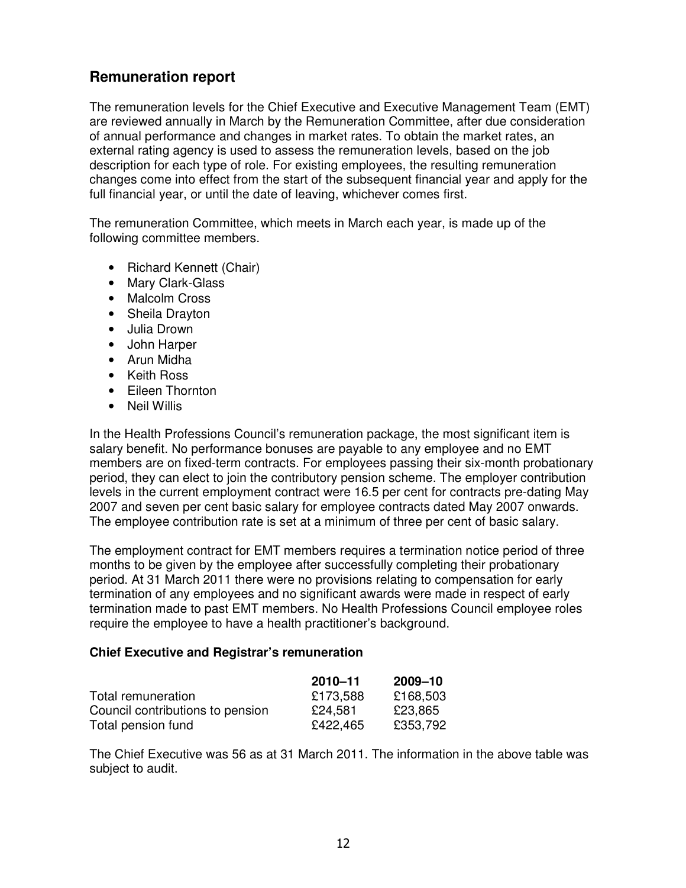# **Remuneration report**

The remuneration levels for the Chief Executive and Executive Management Team (EMT) are reviewed annually in March by the Remuneration Committee, after due consideration of annual performance and changes in market rates. To obtain the market rates, an external rating agency is used to assess the remuneration levels, based on the job description for each type of role. For existing employees, the resulting remuneration changes come into effect from the start of the subsequent financial year and apply for the full financial year, or until the date of leaving, whichever comes first.

The remuneration Committee, which meets in March each year, is made up of the following committee members.

- Richard Kennett (Chair)
- Mary Clark-Glass
- Malcolm Cross
- Sheila Drayton
- Julia Drown
- John Harper
- Arun Midha
- Keith Ross
- Eileen Thornton
- Neil Willis

In the Health Professions Council's remuneration package, the most significant item is salary benefit. No performance bonuses are payable to any employee and no EMT members are on fixed-term contracts. For employees passing their six-month probationary period, they can elect to join the contributory pension scheme. The employer contribution levels in the current employment contract were 16.5 per cent for contracts pre-dating May 2007 and seven per cent basic salary for employee contracts dated May 2007 onwards. The employee contribution rate is set at a minimum of three per cent of basic salary.

The employment contract for EMT members requires a termination notice period of three months to be given by the employee after successfully completing their probationary period. At 31 March 2011 there were no provisions relating to compensation for early termination of any employees and no significant awards were made in respect of early termination made to past EMT members. No Health Professions Council employee roles require the employee to have a health practitioner's background.

#### **Chief Executive and Registrar's remuneration**

|                                  | $2010 - 11$ | 2009–10  |
|----------------------------------|-------------|----------|
| Total remuneration               | £173,588    | £168,503 |
| Council contributions to pension | £24,581     | £23,865  |
| Total pension fund               | £422,465    | £353,792 |

The Chief Executive was 56 as at 31 March 2011. The information in the above table was subject to audit.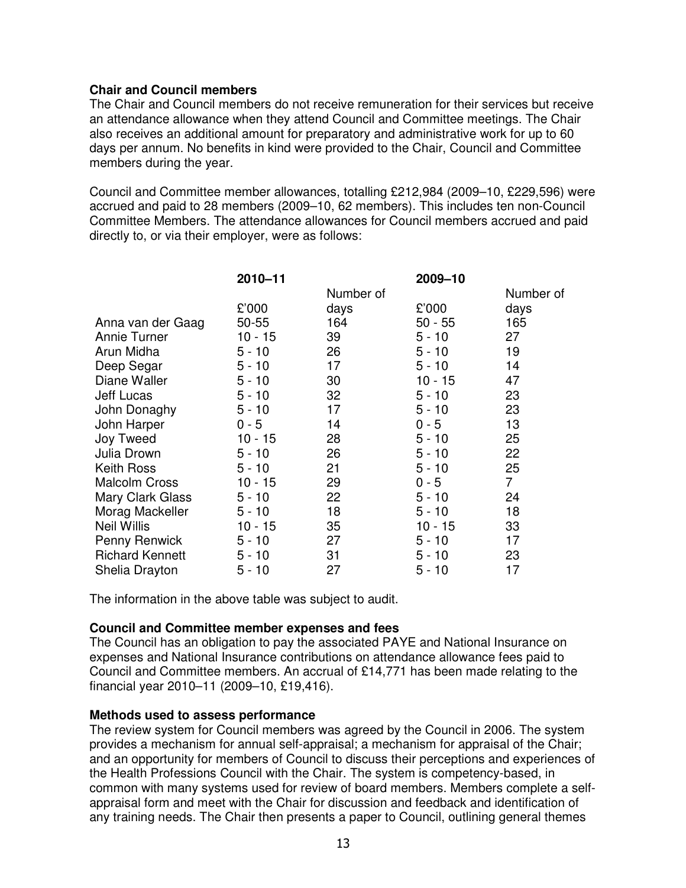## **Chair and Council members**

The Chair and Council members do not receive remuneration for their services but receive an attendance allowance when they attend Council and Committee meetings. The Chair also receives an additional amount for preparatory and administrative work for up to 60 days per annum. No benefits in kind were provided to the Chair, Council and Committee members during the year.

Council and Committee member allowances, totalling £212,984 (2009–10, £229,596) were accrued and paid to 28 members (2009–10, 62 members). This includes ten non-Council Committee Members. The attendance allowances for Council members accrued and paid directly to, or via their employer, were as follows:

|                        | 2010-11   |                 | 2009-10   |                |
|------------------------|-----------|-----------------|-----------|----------------|
|                        |           | Number of       |           | Number of      |
|                        | £'000     | days            | £'000     | days           |
| Anna van der Gaag      | $50 - 55$ | 164             | $50 - 55$ | 165            |
| Annie Turner           | $10 - 15$ | 39              | $5 - 10$  | 27             |
| Arun Midha             | $5 - 10$  | 26              | $5 - 10$  | 19             |
| Deep Segar             | $5 - 10$  | 17              | $5 - 10$  | 14             |
| Diane Waller           | $5 - 10$  | 30              | $10 - 15$ | 47             |
| Jeff Lucas             | $5 - 10$  | 32 <sub>2</sub> | $5 - 10$  | 23             |
| John Donaghy           | $5 - 10$  | 17              | $5 - 10$  | 23             |
| John Harper            | $0 - 5$   | 14              | $0 - 5$   | 13             |
| Joy Tweed              | $10 - 15$ | 28              | $5 - 10$  | 25             |
| Julia Drown            | $5 - 10$  | 26              | $5 - 10$  | 22             |
| Keith Ross             | $5 - 10$  | 21              | $5 - 10$  | 25             |
| <b>Malcolm Cross</b>   | $10 - 15$ | 29              | $0 - 5$   | $\overline{7}$ |
| Mary Clark Glass       | $5 - 10$  | 22              | $5 - 10$  | 24             |
| Morag Mackeller        | $5 - 10$  | 18              | $5 - 10$  | 18             |
| <b>Neil Willis</b>     | $10 - 15$ | 35              | $10 - 15$ | 33             |
| Penny Renwick          | $5 - 10$  | 27              | $5 - 10$  | 17             |
| <b>Richard Kennett</b> | $5 - 10$  | 31              | $5 - 10$  | 23             |
| Shelia Drayton         | $5 - 10$  | 27              | $5 - 10$  | 17             |

The information in the above table was subject to audit.

#### **Council and Committee member expenses and fees**

The Council has an obligation to pay the associated PAYE and National Insurance on expenses and National Insurance contributions on attendance allowance fees paid to Council and Committee members. An accrual of £14,771 has been made relating to the financial year 2010–11 (2009–10, £19,416).

#### **Methods used to assess performance**

The review system for Council members was agreed by the Council in 2006. The system provides a mechanism for annual self-appraisal; a mechanism for appraisal of the Chair; and an opportunity for members of Council to discuss their perceptions and experiences of the Health Professions Council with the Chair. The system is competency-based, in common with many systems used for review of board members. Members complete a selfappraisal form and meet with the Chair for discussion and feedback and identification of any training needs. The Chair then presents a paper to Council, outlining general themes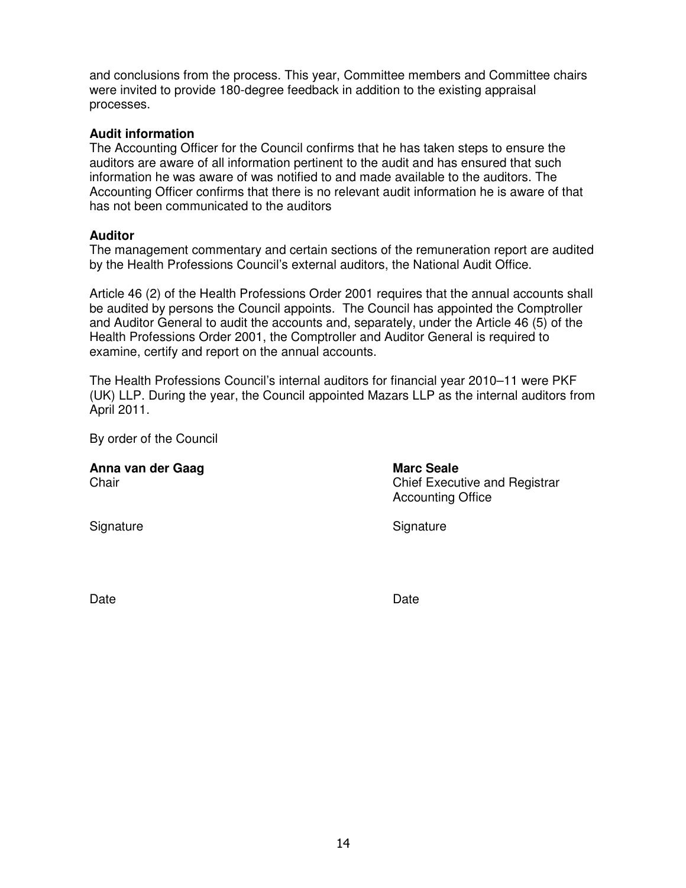and conclusions from the process. This year, Committee members and Committee chairs were invited to provide 180-degree feedback in addition to the existing appraisal processes.

#### **Audit information**

The Accounting Officer for the Council confirms that he has taken steps to ensure the auditors are aware of all information pertinent to the audit and has ensured that such information he was aware of was notified to and made available to the auditors. The Accounting Officer confirms that there is no relevant audit information he is aware of that has not been communicated to the auditors

#### **Auditor**

The management commentary and certain sections of the remuneration report are audited by the Health Professions Council's external auditors, the National Audit Office.

Article 46 (2) of the Health Professions Order 2001 requires that the annual accounts shall be audited by persons the Council appoints. The Council has appointed the Comptroller and Auditor General to audit the accounts and, separately, under the Article 46 (5) of the Health Professions Order 2001, the Comptroller and Auditor General is required to examine, certify and report on the annual accounts.

The Health Professions Council's internal auditors for financial year 2010–11 were PKF (UK) LLP. During the year, the Council appointed Mazars LLP as the internal auditors from April 2011.

By order of the Council

| Anna van der Gaag<br>Chair | <b>Marc Seale</b><br><b>Chief Executive and Registrar</b><br><b>Accounting Office</b> |  |  |
|----------------------------|---------------------------------------------------------------------------------------|--|--|
| Signature                  | Signature                                                                             |  |  |

Date **Date Date Date Date Date Date**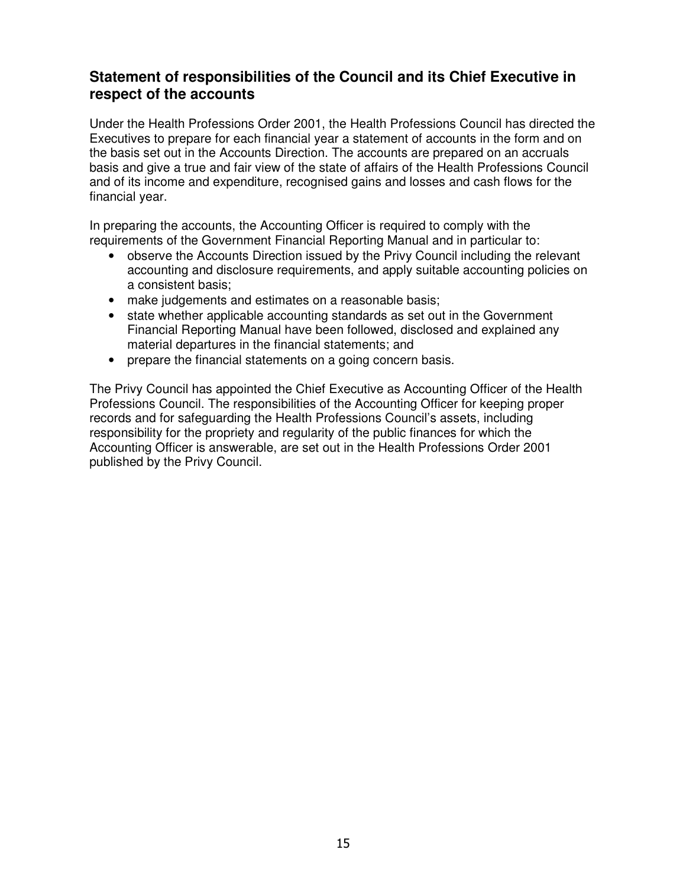# **Statement of responsibilities of the Council and its Chief Executive in respect of the accounts**

Under the Health Professions Order 2001, the Health Professions Council has directed the Executives to prepare for each financial year a statement of accounts in the form and on the basis set out in the Accounts Direction. The accounts are prepared on an accruals basis and give a true and fair view of the state of affairs of the Health Professions Council and of its income and expenditure, recognised gains and losses and cash flows for the financial year.

In preparing the accounts, the Accounting Officer is required to comply with the requirements of the Government Financial Reporting Manual and in particular to:

- observe the Accounts Direction issued by the Privy Council including the relevant accounting and disclosure requirements, and apply suitable accounting policies on a consistent basis;
- make judgements and estimates on a reasonable basis;
- state whether applicable accounting standards as set out in the Government Financial Reporting Manual have been followed, disclosed and explained any material departures in the financial statements; and
- prepare the financial statements on a going concern basis.

The Privy Council has appointed the Chief Executive as Accounting Officer of the Health Professions Council. The responsibilities of the Accounting Officer for keeping proper records and for safeguarding the Health Professions Council's assets, including responsibility for the propriety and regularity of the public finances for which the Accounting Officer is answerable, are set out in the Health Professions Order 2001 published by the Privy Council.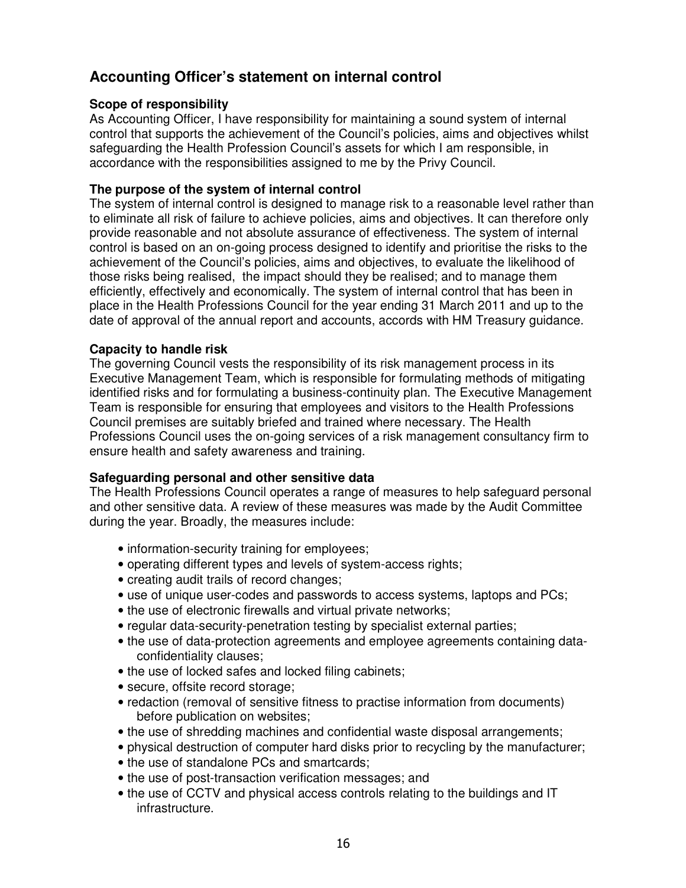# **Accounting Officer's statement on internal control**

## **Scope of responsibility**

As Accounting Officer, I have responsibility for maintaining a sound system of internal control that supports the achievement of the Council's policies, aims and objectives whilst safeguarding the Health Profession Council's assets for which I am responsible, in accordance with the responsibilities assigned to me by the Privy Council.

## **The purpose of the system of internal control**

The system of internal control is designed to manage risk to a reasonable level rather than to eliminate all risk of failure to achieve policies, aims and objectives. It can therefore only provide reasonable and not absolute assurance of effectiveness. The system of internal control is based on an on-going process designed to identify and prioritise the risks to the achievement of the Council's policies, aims and objectives, to evaluate the likelihood of those risks being realised, the impact should they be realised; and to manage them efficiently, effectively and economically. The system of internal control that has been in place in the Health Professions Council for the year ending 31 March 2011 and up to the date of approval of the annual report and accounts, accords with HM Treasury guidance.

## **Capacity to handle risk**

The governing Council vests the responsibility of its risk management process in its Executive Management Team, which is responsible for formulating methods of mitigating identified risks and for formulating a business-continuity plan. The Executive Management Team is responsible for ensuring that employees and visitors to the Health Professions Council premises are suitably briefed and trained where necessary. The Health Professions Council uses the on-going services of a risk management consultancy firm to ensure health and safety awareness and training.

#### **Safeguarding personal and other sensitive data**

The Health Professions Council operates a range of measures to help safeguard personal and other sensitive data. A review of these measures was made by the Audit Committee during the year. Broadly, the measures include:

- information-security training for employees;
- operating different types and levels of system-access rights;
- creating audit trails of record changes;
- use of unique user-codes and passwords to access systems, laptops and PCs;
- the use of electronic firewalls and virtual private networks;
- regular data-security-penetration testing by specialist external parties;
- the use of data-protection agreements and employee agreements containing dataconfidentiality clauses;
- the use of locked safes and locked filing cabinets;
- secure, offsite record storage;
- redaction (removal of sensitive fitness to practise information from documents) before publication on websites;
- the use of shredding machines and confidential waste disposal arrangements;
- physical destruction of computer hard disks prior to recycling by the manufacturer;
- the use of standalone PCs and smartcards;
- the use of post-transaction verification messages; and
- the use of CCTV and physical access controls relating to the buildings and IT infrastructure.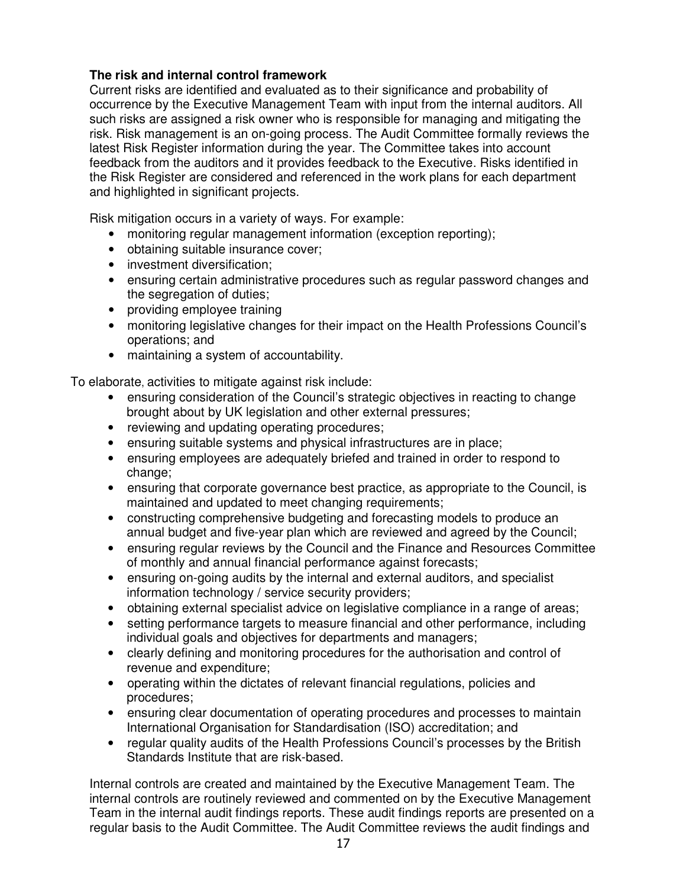## **The risk and internal control framework**

Current risks are identified and evaluated as to their significance and probability of occurrence by the Executive Management Team with input from the internal auditors. All such risks are assigned a risk owner who is responsible for managing and mitigating the risk. Risk management is an on-going process. The Audit Committee formally reviews the latest Risk Register information during the year. The Committee takes into account feedback from the auditors and it provides feedback to the Executive. Risks identified in the Risk Register are considered and referenced in the work plans for each department and highlighted in significant projects.

Risk mitigation occurs in a variety of ways. For example:

- monitoring regular management information (exception reporting);
- obtaining suitable insurance cover;
- investment diversification:
- ensuring certain administrative procedures such as regular password changes and the segregation of duties;
- providing employee training
- monitoring legislative changes for their impact on the Health Professions Council's operations; and
- maintaining a system of accountability.

To elaborate, activities to mitigate against risk include:

- ensuring consideration of the Council's strategic objectives in reacting to change brought about by UK legislation and other external pressures;
- reviewing and updating operating procedures;
- ensuring suitable systems and physical infrastructures are in place;
- ensuring employees are adequately briefed and trained in order to respond to change;
- ensuring that corporate governance best practice, as appropriate to the Council, is maintained and updated to meet changing requirements;
- constructing comprehensive budgeting and forecasting models to produce an annual budget and five-year plan which are reviewed and agreed by the Council;
- ensuring regular reviews by the Council and the Finance and Resources Committee of monthly and annual financial performance against forecasts;
- ensuring on-going audits by the internal and external auditors, and specialist information technology / service security providers;
- obtaining external specialist advice on legislative compliance in a range of areas;
- setting performance targets to measure financial and other performance, including individual goals and objectives for departments and managers;
- clearly defining and monitoring procedures for the authorisation and control of revenue and expenditure;
- operating within the dictates of relevant financial regulations, policies and procedures;
- ensuring clear documentation of operating procedures and processes to maintain International Organisation for Standardisation (ISO) accreditation; and
- regular quality audits of the Health Professions Council's processes by the British Standards Institute that are risk-based.

Internal controls are created and maintained by the Executive Management Team. The internal controls are routinely reviewed and commented on by the Executive Management Team in the internal audit findings reports. These audit findings reports are presented on a regular basis to the Audit Committee. The Audit Committee reviews the audit findings and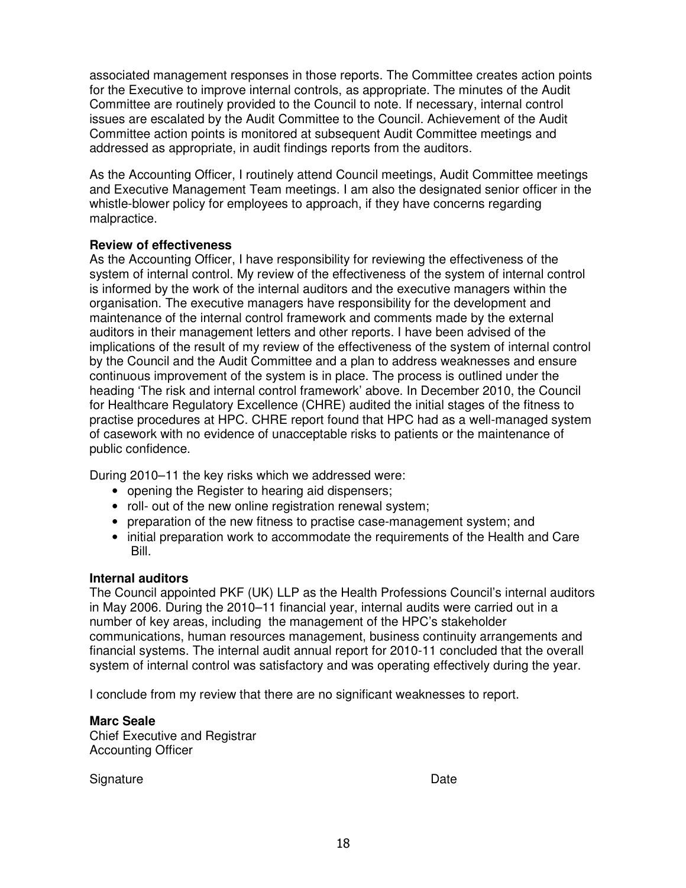associated management responses in those reports. The Committee creates action points for the Executive to improve internal controls, as appropriate. The minutes of the Audit Committee are routinely provided to the Council to note. If necessary, internal control issues are escalated by the Audit Committee to the Council. Achievement of the Audit Committee action points is monitored at subsequent Audit Committee meetings and addressed as appropriate, in audit findings reports from the auditors.

As the Accounting Officer, I routinely attend Council meetings, Audit Committee meetings and Executive Management Team meetings. I am also the designated senior officer in the whistle-blower policy for employees to approach, if they have concerns regarding malpractice.

#### **Review of effectiveness**

As the Accounting Officer, I have responsibility for reviewing the effectiveness of the system of internal control. My review of the effectiveness of the system of internal control is informed by the work of the internal auditors and the executive managers within the organisation. The executive managers have responsibility for the development and maintenance of the internal control framework and comments made by the external auditors in their management letters and other reports. I have been advised of the implications of the result of my review of the effectiveness of the system of internal control by the Council and the Audit Committee and a plan to address weaknesses and ensure continuous improvement of the system is in place. The process is outlined under the heading 'The risk and internal control framework' above. In December 2010, the Council for Healthcare Regulatory Excellence (CHRE) audited the initial stages of the fitness to practise procedures at HPC. CHRE report found that HPC had as a well-managed system of casework with no evidence of unacceptable risks to patients or the maintenance of public confidence.

During 2010–11 the key risks which we addressed were:

- opening the Register to hearing aid dispensers;
- roll- out of the new online registration renewal system;
- preparation of the new fitness to practise case-management system; and
- initial preparation work to accommodate the requirements of the Health and Care Bill.

#### **Internal auditors**

The Council appointed PKF (UK) LLP as the Health Professions Council's internal auditors in May 2006. During the 2010–11 financial year, internal audits were carried out in a number of key areas, including the management of the HPC's stakeholder communications, human resources management, business continuity arrangements and financial systems. The internal audit annual report for 2010-11 concluded that the overall system of internal control was satisfactory and was operating effectively during the year.

I conclude from my review that there are no significant weaknesses to report.

## **Marc Seale**

Chief Executive and Registrar Accounting Officer

Signature Date **Date**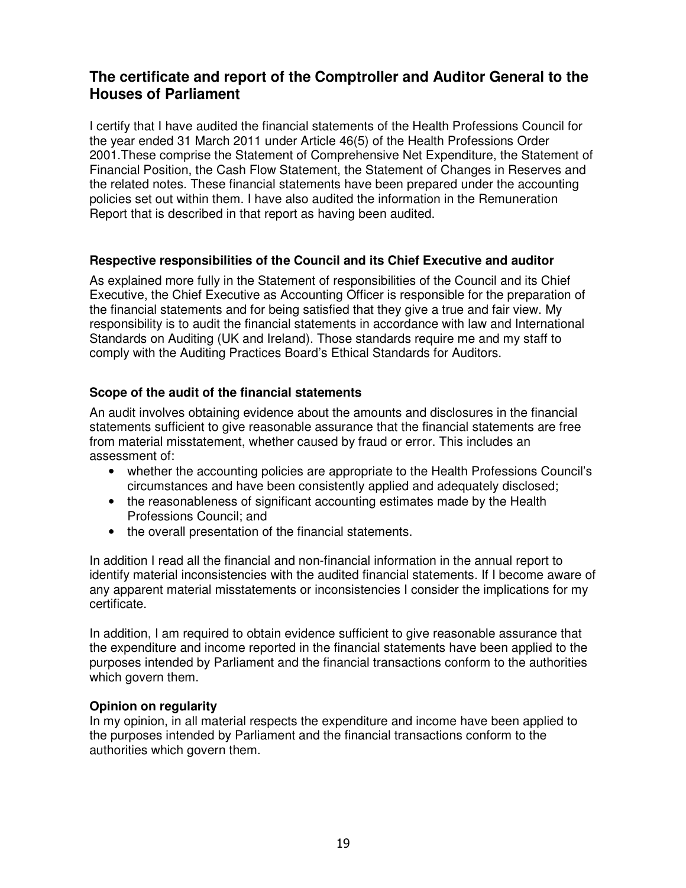# **The certificate and report of the Comptroller and Auditor General to the Houses of Parliament**

I certify that I have audited the financial statements of the Health Professions Council for the year ended 31 March 2011 under Article 46(5) of the Health Professions Order 2001.These comprise the Statement of Comprehensive Net Expenditure, the Statement of Financial Position, the Cash Flow Statement, the Statement of Changes in Reserves and the related notes. These financial statements have been prepared under the accounting policies set out within them. I have also audited the information in the Remuneration Report that is described in that report as having been audited.

## **Respective responsibilities of the Council and its Chief Executive and auditor**

As explained more fully in the Statement of responsibilities of the Council and its Chief Executive, the Chief Executive as Accounting Officer is responsible for the preparation of the financial statements and for being satisfied that they give a true and fair view. My responsibility is to audit the financial statements in accordance with law and International Standards on Auditing (UK and Ireland). Those standards require me and my staff to comply with the Auditing Practices Board's Ethical Standards for Auditors.

## **Scope of the audit of the financial statements**

An audit involves obtaining evidence about the amounts and disclosures in the financial statements sufficient to give reasonable assurance that the financial statements are free from material misstatement, whether caused by fraud or error. This includes an assessment of:

- whether the accounting policies are appropriate to the Health Professions Council's circumstances and have been consistently applied and adequately disclosed;
- the reasonableness of significant accounting estimates made by the Health Professions Council; and
- the overall presentation of the financial statements.

In addition I read all the financial and non-financial information in the annual report to identify material inconsistencies with the audited financial statements. If I become aware of any apparent material misstatements or inconsistencies I consider the implications for my certificate.

In addition, I am required to obtain evidence sufficient to give reasonable assurance that the expenditure and income reported in the financial statements have been applied to the purposes intended by Parliament and the financial transactions conform to the authorities which govern them.

#### **Opinion on regularity**

In my opinion, in all material respects the expenditure and income have been applied to the purposes intended by Parliament and the financial transactions conform to the authorities which govern them.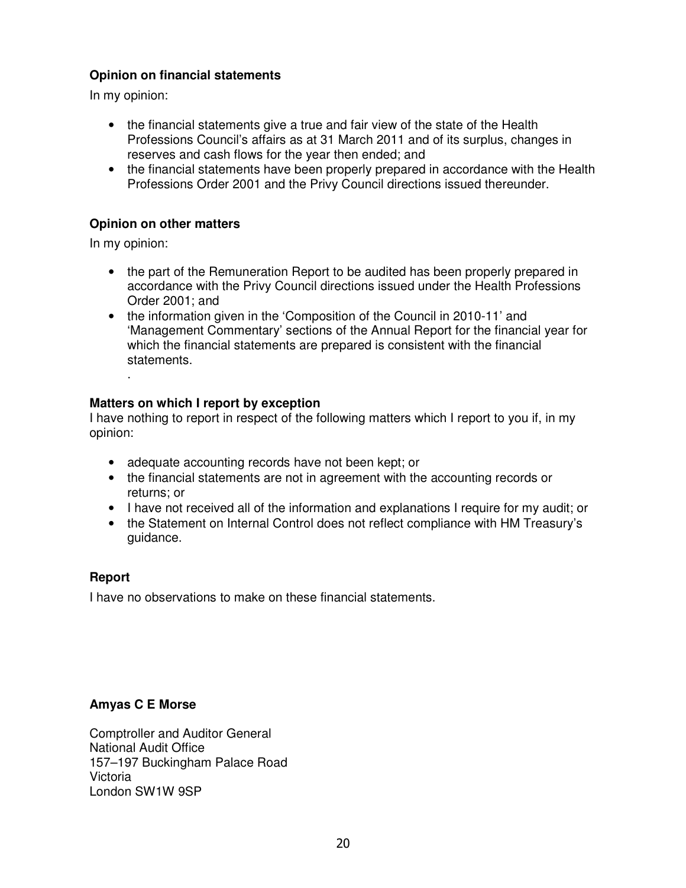## **Opinion on financial statements**

In my opinion:

- the financial statements give a true and fair view of the state of the Health Professions Council's affairs as at 31 March 2011 and of its surplus, changes in reserves and cash flows for the year then ended; and
- the financial statements have been properly prepared in accordance with the Health Professions Order 2001 and the Privy Council directions issued thereunder.

## **Opinion on other matters**

In my opinion:

.

- the part of the Remuneration Report to be audited has been properly prepared in accordance with the Privy Council directions issued under the Health Professions Order 2001; and
- the information given in the 'Composition of the Council in 2010-11' and 'Management Commentary' sections of the Annual Report for the financial year for which the financial statements are prepared is consistent with the financial statements.

## **Matters on which I report by exception**

I have nothing to report in respect of the following matters which I report to you if, in my opinion:

- adequate accounting records have not been kept; or
- the financial statements are not in agreement with the accounting records or returns; or
- I have not received all of the information and explanations I require for my audit; or
- the Statement on Internal Control does not reflect compliance with HM Treasury's guidance.

#### **Report**

I have no observations to make on these financial statements.

## **Amyas C E Morse**

Comptroller and Auditor General National Audit Office 157–197 Buckingham Palace Road Victoria London SW1W 9SP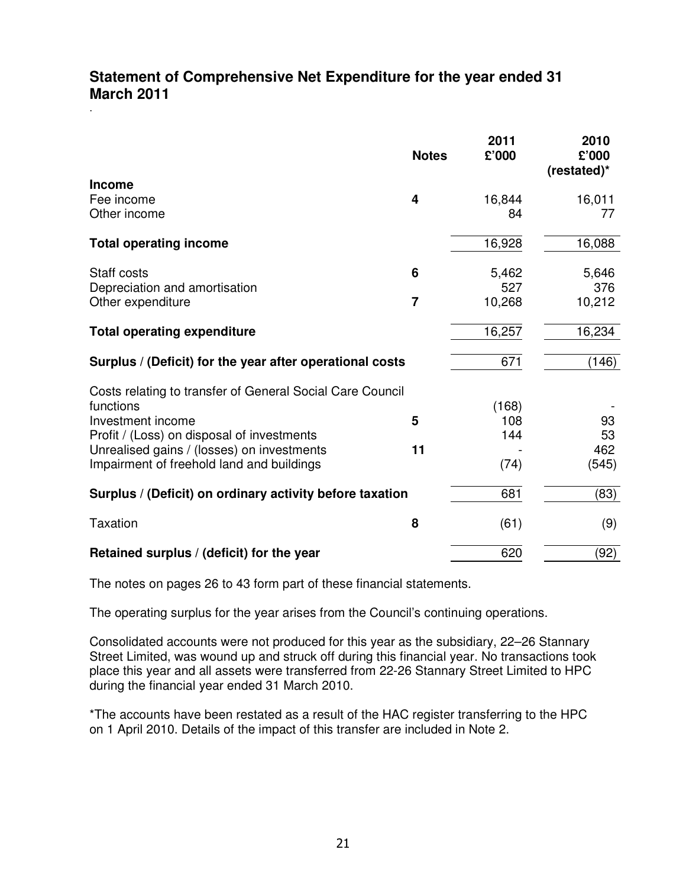# **Statement of Comprehensive Net Expenditure for the year ended 31 March 2011**

.

|                                                           | <b>Notes</b>   | 2011<br>£'000 | 2010<br>£'000<br>(restated)* |
|-----------------------------------------------------------|----------------|---------------|------------------------------|
| <b>Income</b>                                             |                |               |                              |
| Fee income                                                | 4              | 16,844        | 16,011                       |
| Other income                                              |                | 84            | 77                           |
| <b>Total operating income</b>                             |                | 16,928        | 16,088                       |
| Staff costs                                               | 6              | 5,462         | 5,646                        |
| Depreciation and amortisation                             |                | 527           | 376                          |
| Other expenditure                                         | $\overline{7}$ | 10,268        | 10,212                       |
| <b>Total operating expenditure</b>                        |                | 16,257        | 16,234                       |
| Surplus / (Deficit) for the year after operational costs  |                | 671           | (146)                        |
| Costs relating to transfer of General Social Care Council |                |               |                              |
| functions                                                 |                | (168)         |                              |
| Investment income                                         | 5              | 108           | 93                           |
| Profit / (Loss) on disposal of investments                |                | 144           | 53                           |
| Unrealised gains / (losses) on investments                | 11             |               | 462                          |
| Impairment of freehold land and buildings                 |                | (74)          | (545)                        |
| Surplus / (Deficit) on ordinary activity before taxation  |                | 681           | (83)                         |
| <b>Taxation</b>                                           | 8              | (61)          | (9)                          |
| Retained surplus / (deficit) for the year                 |                | 620           | (92)                         |

The notes on pages 26 to 43 form part of these financial statements.

The operating surplus for the year arises from the Council's continuing operations.

Consolidated accounts were not produced for this year as the subsidiary, 22–26 Stannary Street Limited, was wound up and struck off during this financial year. No transactions took place this year and all assets were transferred from 22-26 Stannary Street Limited to HPC during the financial year ended 31 March 2010.

\*The accounts have been restated as a result of the HAC register transferring to the HPC on 1 April 2010. Details of the impact of this transfer are included in Note 2.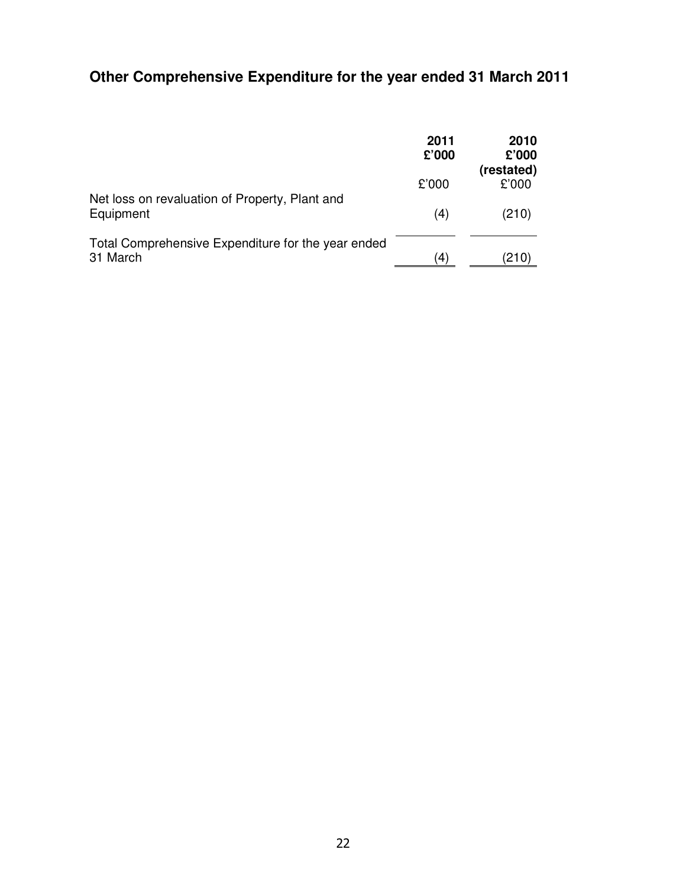# **Other Comprehensive Expenditure for the year ended 31 March 2011**

|                                                                | 2011<br>£'000      | 2010<br>£'000<br>(restated) |
|----------------------------------------------------------------|--------------------|-----------------------------|
|                                                                | £'000              | £'000                       |
| Net loss on revaluation of Property, Plant and<br>Equipment    | (4)                | (210)                       |
| Total Comprehensive Expenditure for the year ended<br>31 March | $\left( 4 \right)$ | (210)                       |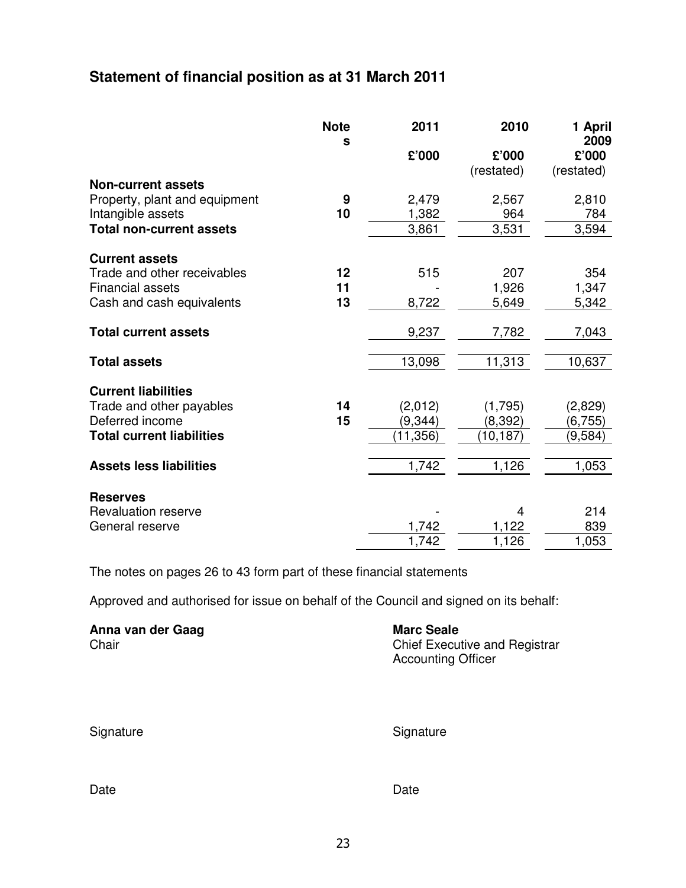# **Statement of financial position as at 31 March 2011**

|                                  | <b>Note</b><br>S | 2011      | 2010       | 1 April<br>2009 |
|----------------------------------|------------------|-----------|------------|-----------------|
|                                  |                  | £'000     | £'000      | £'000           |
| <b>Non-current assets</b>        |                  |           | (restated) | (restated)      |
| Property, plant and equipment    | 9                | 2,479     | 2,567      | 2,810           |
| Intangible assets                | 10               | 1,382     | 964        | 784             |
| <b>Total non-current assets</b>  |                  | 3,861     | 3,531      | 3,594           |
| <b>Current assets</b>            |                  |           |            |                 |
| Trade and other receivables      | 12               | 515       | 207        | 354             |
| <b>Financial assets</b>          | 11               |           | 1,926      | 1,347           |
| Cash and cash equivalents        | 13               | 8,722     | 5,649      | 5,342           |
| <b>Total current assets</b>      |                  | 9,237     | 7,782      | 7,043           |
| <b>Total assets</b>              |                  | 13,098    | 11,313     | 10,637          |
| <b>Current liabilities</b>       |                  |           |            |                 |
| Trade and other payables         | 14               | (2,012)   | (1,795)    | (2,829)         |
| Deferred income                  | 15               | (9, 344)  | (8, 392)   | (6, 755)        |
| <b>Total current liabilities</b> |                  | (11, 356) | (10,187)   | (9,584)         |
| <b>Assets less liabilities</b>   |                  | 1,742     | 1,126      | 1,053           |
| <b>Reserves</b>                  |                  |           |            |                 |
| <b>Revaluation reserve</b>       |                  |           | 4          | 214             |
| General reserve                  |                  | 1,742     | 1,122      | 839             |
|                                  |                  | 1,742     | 1,126      | 1,053           |

The notes on pages 26 to 43 form part of these financial statements

Approved and authorised for issue on behalf of the Council and signed on its behalf:

| Anna van der Gaag | <b>Marc Seale</b>                    |
|-------------------|--------------------------------------|
| Chair             | <b>Chief Executive and Registrar</b> |
|                   | <b>Accounting Officer</b>            |

| Signature |
|-----------|
|-----------|

Signature

Date **Date Date Date Date Date**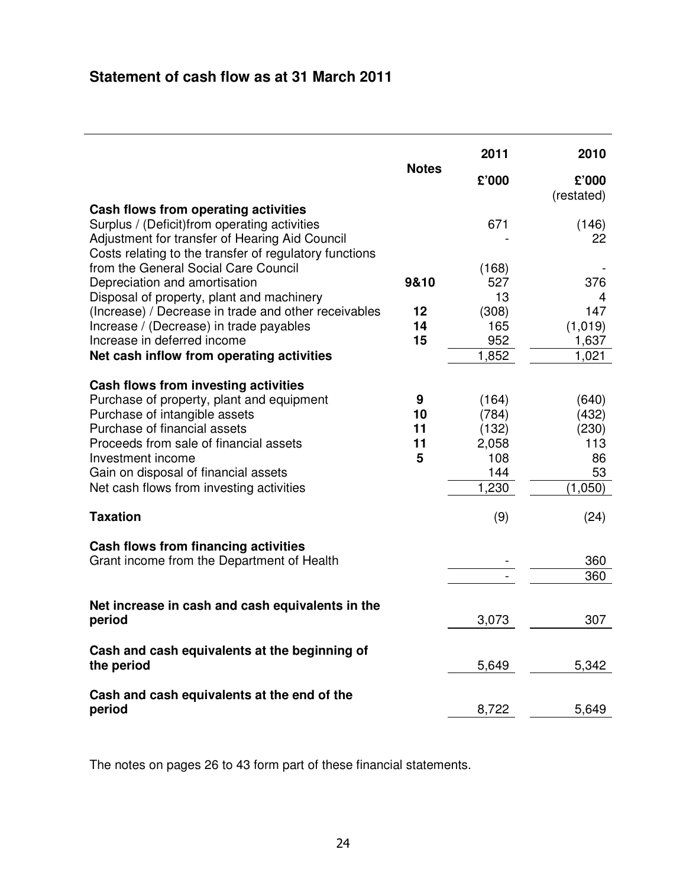# **Statement of cash flow as at 31 March 2011**

|                                                                                                                                                                                                                                                                                                                                                                                                                                                                                                        | <b>Notes</b>             | 2011<br>£'000                                             | 2010<br>£'000<br>(restated)                                 |
|--------------------------------------------------------------------------------------------------------------------------------------------------------------------------------------------------------------------------------------------------------------------------------------------------------------------------------------------------------------------------------------------------------------------------------------------------------------------------------------------------------|--------------------------|-----------------------------------------------------------|-------------------------------------------------------------|
| Cash flows from operating activities<br>Surplus / (Deficit) from operating activities<br>Adjustment for transfer of Hearing Aid Council<br>Costs relating to the transfer of regulatory functions<br>from the General Social Care Council<br>Depreciation and amortisation<br>Disposal of property, plant and machinery<br>(Increase) / Decrease in trade and other receivables<br>Increase / (Decrease) in trade payables<br>Increase in deferred income<br>Net cash inflow from operating activities | 9&10<br>12<br>14<br>15   | 671<br>(168)<br>527<br>13<br>(308)<br>165<br>952<br>1,852 | (146)<br>22<br>376<br>4<br>147<br>(1,019)<br>1,637<br>1,021 |
| Cash flows from investing activities<br>Purchase of property, plant and equipment<br>Purchase of intangible assets<br>Purchase of financial assets<br>Proceeds from sale of financial assets<br>Investment income<br>Gain on disposal of financial assets<br>Net cash flows from investing activities<br><b>Taxation</b>                                                                                                                                                                               | 9<br>10<br>11<br>11<br>5 | (164)<br>(784)<br>(132)<br>2,058<br>108<br>144<br>1,230   | (640)<br>(432)<br>(230)<br>113<br>86<br>53<br>(1,050)       |
| Cash flows from financing activities<br>Grant income from the Department of Health                                                                                                                                                                                                                                                                                                                                                                                                                     |                          | (9)                                                       | (24)<br>360<br>360                                          |
| Net increase in cash and cash equivalents in the<br>period                                                                                                                                                                                                                                                                                                                                                                                                                                             |                          | 3,073                                                     | 307                                                         |
| Cash and cash equivalents at the beginning of<br>the period                                                                                                                                                                                                                                                                                                                                                                                                                                            |                          | 5,649                                                     | 5,342                                                       |
| Cash and cash equivalents at the end of the<br>period                                                                                                                                                                                                                                                                                                                                                                                                                                                  |                          | 8,722                                                     | 5,649                                                       |

The notes on pages 26 to 43 form part of these financial statements.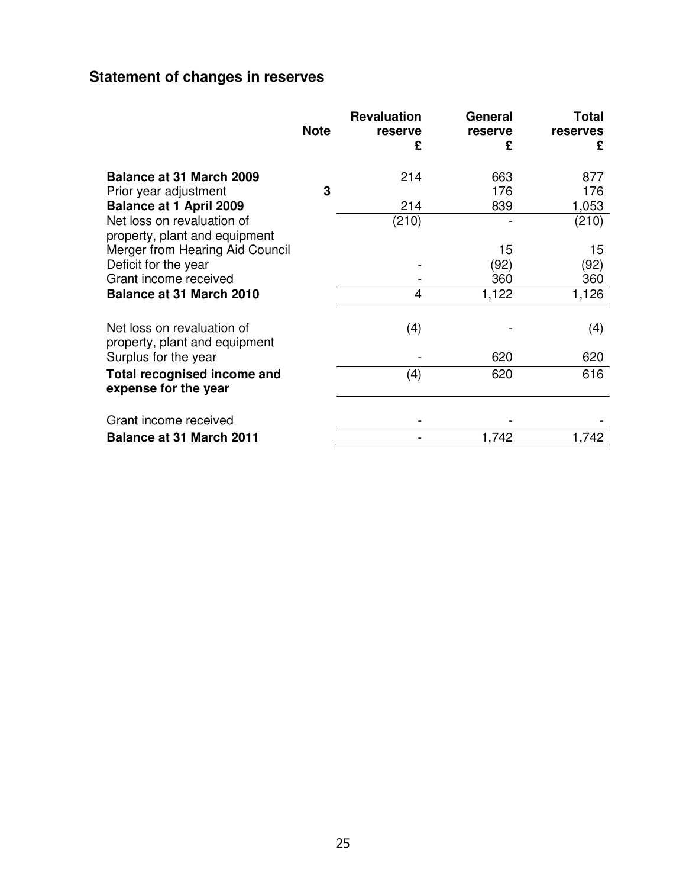# **Statement of changes in reserves**

|                                 | <b>Note</b> | <b>Revaluation</b><br>reserve | General<br>reserve | <b>Total</b><br>reserves |
|---------------------------------|-------------|-------------------------------|--------------------|--------------------------|
|                                 |             | £                             | £                  | £                        |
| <b>Balance at 31 March 2009</b> |             | 214                           | 663                | 877                      |
| Prior year adjustment           | 3           |                               | 176                | 176                      |
| <b>Balance at 1 April 2009</b>  |             | 214                           | 839                | 1,053                    |
| Net loss on revaluation of      |             | (210)                         |                    | (210)                    |
| property, plant and equipment   |             |                               |                    |                          |
| Merger from Hearing Aid Council |             |                               | 15                 | 15                       |
| Deficit for the year            |             |                               | (92)               | (92)                     |
| Grant income received           |             |                               | 360                | 360                      |
| <b>Balance at 31 March 2010</b> |             | 4                             | 1,122              | 1,126                    |
|                                 |             |                               |                    |                          |
| Net loss on revaluation of      |             | (4)                           |                    | (4)                      |
| property, plant and equipment   |             |                               |                    |                          |
| Surplus for the year            |             |                               | 620                | 620                      |
| Total recognised income and     |             | (4)                           | 620                | 616                      |
| expense for the year            |             |                               |                    |                          |
|                                 |             |                               |                    |                          |
| Grant income received           |             |                               |                    |                          |
| <b>Balance at 31 March 2011</b> |             |                               | 1,742              | 1,742                    |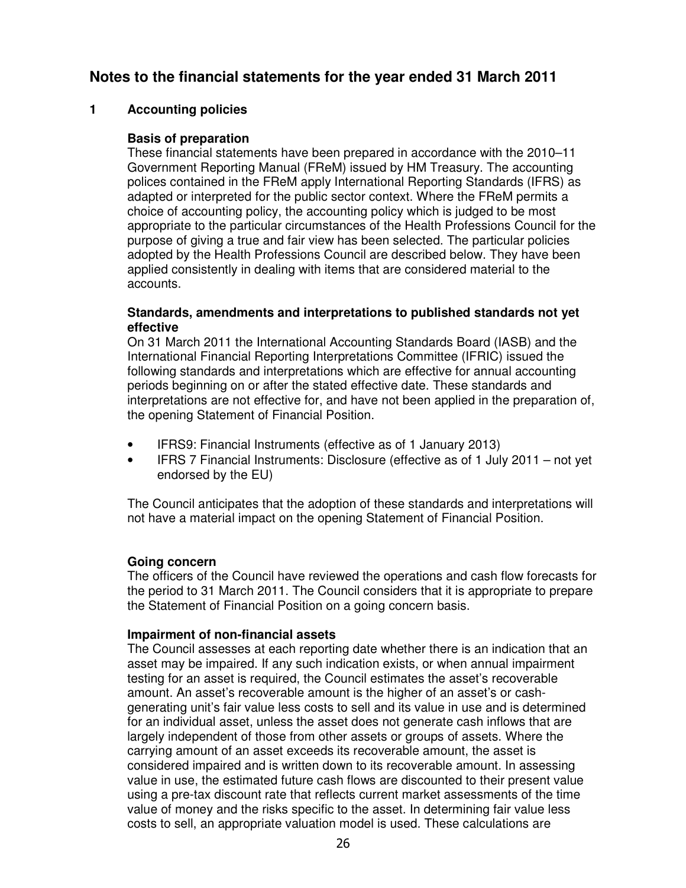## **Notes to the financial statements for the year ended 31 March 2011**

## **1 Accounting policies**

## **Basis of preparation**

These financial statements have been prepared in accordance with the 2010–11 Government Reporting Manual (FReM) issued by HM Treasury. The accounting polices contained in the FReM apply International Reporting Standards (IFRS) as adapted or interpreted for the public sector context. Where the FReM permits a choice of accounting policy, the accounting policy which is judged to be most appropriate to the particular circumstances of the Health Professions Council for the purpose of giving a true and fair view has been selected. The particular policies adopted by the Health Professions Council are described below. They have been applied consistently in dealing with items that are considered material to the accounts.

#### **Standards, amendments and interpretations to published standards not yet effective**

On 31 March 2011 the International Accounting Standards Board (IASB) and the International Financial Reporting Interpretations Committee (IFRIC) issued the following standards and interpretations which are effective for annual accounting periods beginning on or after the stated effective date. These standards and interpretations are not effective for, and have not been applied in the preparation of, the opening Statement of Financial Position.

- IFRS9: Financial Instruments (effective as of 1 January 2013)
- IFRS 7 Financial Instruments: Disclosure (effective as of 1 July 2011 not yet endorsed by the EU)

The Council anticipates that the adoption of these standards and interpretations will not have a material impact on the opening Statement of Financial Position.

## **Going concern**

The officers of the Council have reviewed the operations and cash flow forecasts for the period to 31 March 2011. The Council considers that it is appropriate to prepare the Statement of Financial Position on a going concern basis.

#### **Impairment of non-financial assets**

The Council assesses at each reporting date whether there is an indication that an asset may be impaired. If any such indication exists, or when annual impairment testing for an asset is required, the Council estimates the asset's recoverable amount. An asset's recoverable amount is the higher of an asset's or cashgenerating unit's fair value less costs to sell and its value in use and is determined for an individual asset, unless the asset does not generate cash inflows that are largely independent of those from other assets or groups of assets. Where the carrying amount of an asset exceeds its recoverable amount, the asset is considered impaired and is written down to its recoverable amount. In assessing value in use, the estimated future cash flows are discounted to their present value using a pre-tax discount rate that reflects current market assessments of the time value of money and the risks specific to the asset. In determining fair value less costs to sell, an appropriate valuation model is used. These calculations are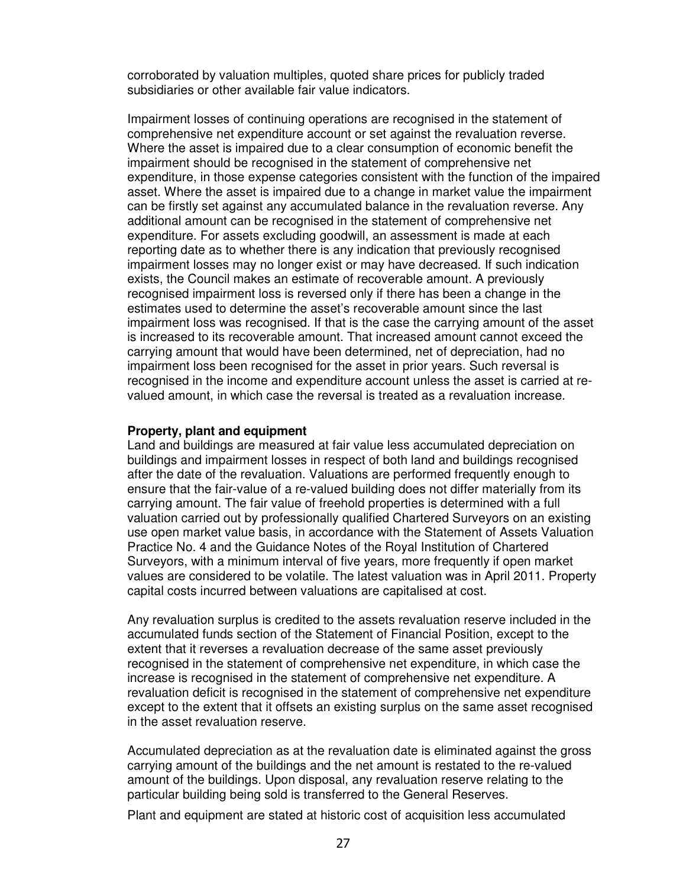corroborated by valuation multiples, quoted share prices for publicly traded subsidiaries or other available fair value indicators.

Impairment losses of continuing operations are recognised in the statement of comprehensive net expenditure account or set against the revaluation reverse. Where the asset is impaired due to a clear consumption of economic benefit the impairment should be recognised in the statement of comprehensive net expenditure, in those expense categories consistent with the function of the impaired asset. Where the asset is impaired due to a change in market value the impairment can be firstly set against any accumulated balance in the revaluation reverse. Any additional amount can be recognised in the statement of comprehensive net expenditure. For assets excluding goodwill, an assessment is made at each reporting date as to whether there is any indication that previously recognised impairment losses may no longer exist or may have decreased. If such indication exists, the Council makes an estimate of recoverable amount. A previously recognised impairment loss is reversed only if there has been a change in the estimates used to determine the asset's recoverable amount since the last impairment loss was recognised. If that is the case the carrying amount of the asset is increased to its recoverable amount. That increased amount cannot exceed the carrying amount that would have been determined, net of depreciation, had no impairment loss been recognised for the asset in prior years. Such reversal is recognised in the income and expenditure account unless the asset is carried at revalued amount, in which case the reversal is treated as a revaluation increase.

#### **Property, plant and equipment**

Land and buildings are measured at fair value less accumulated depreciation on buildings and impairment losses in respect of both land and buildings recognised after the date of the revaluation. Valuations are performed frequently enough to ensure that the fair-value of a re-valued building does not differ materially from its carrying amount. The fair value of freehold properties is determined with a full valuation carried out by professionally qualified Chartered Surveyors on an existing use open market value basis, in accordance with the Statement of Assets Valuation Practice No. 4 and the Guidance Notes of the Royal Institution of Chartered Surveyors, with a minimum interval of five years, more frequently if open market values are considered to be volatile. The latest valuation was in April 2011. Property capital costs incurred between valuations are capitalised at cost.

Any revaluation surplus is credited to the assets revaluation reserve included in the accumulated funds section of the Statement of Financial Position, except to the extent that it reverses a revaluation decrease of the same asset previously recognised in the statement of comprehensive net expenditure, in which case the increase is recognised in the statement of comprehensive net expenditure. A revaluation deficit is recognised in the statement of comprehensive net expenditure except to the extent that it offsets an existing surplus on the same asset recognised in the asset revaluation reserve.

Accumulated depreciation as at the revaluation date is eliminated against the gross carrying amount of the buildings and the net amount is restated to the re-valued amount of the buildings. Upon disposal, any revaluation reserve relating to the particular building being sold is transferred to the General Reserves.

Plant and equipment are stated at historic cost of acquisition less accumulated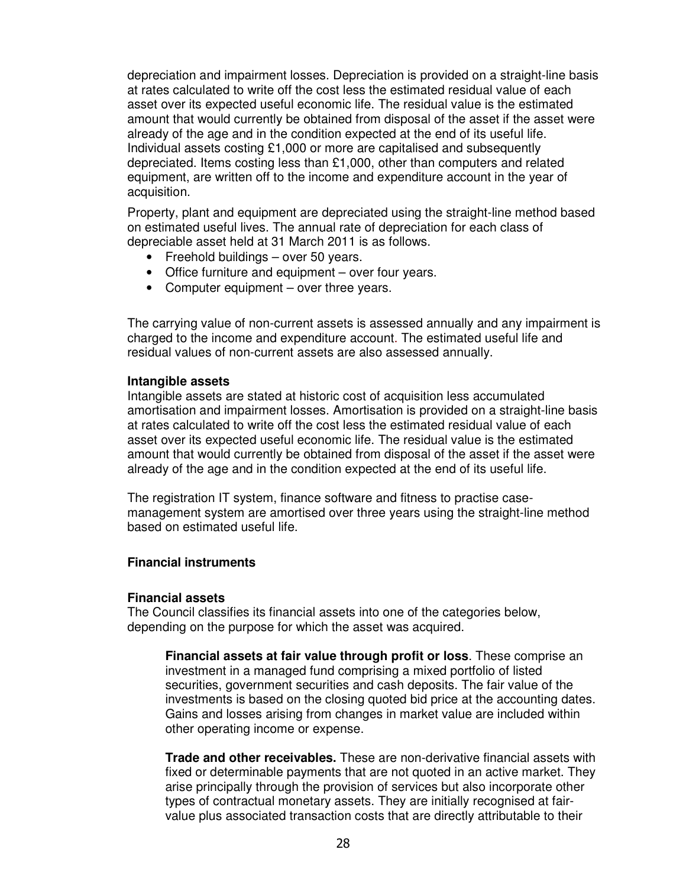depreciation and impairment losses. Depreciation is provided on a straight-line basis at rates calculated to write off the cost less the estimated residual value of each asset over its expected useful economic life. The residual value is the estimated amount that would currently be obtained from disposal of the asset if the asset were already of the age and in the condition expected at the end of its useful life. Individual assets costing £1,000 or more are capitalised and subsequently depreciated. Items costing less than £1,000, other than computers and related equipment, are written off to the income and expenditure account in the year of acquisition.

Property, plant and equipment are depreciated using the straight-line method based on estimated useful lives. The annual rate of depreciation for each class of depreciable asset held at 31 March 2011 is as follows.

- Freehold buildings over 50 years.
- Office furniture and equipment over four years.
- Computer equipment over three years.

The carrying value of non-current assets is assessed annually and any impairment is charged to the income and expenditure account. The estimated useful life and residual values of non-current assets are also assessed annually.

#### **Intangible assets**

Intangible assets are stated at historic cost of acquisition less accumulated amortisation and impairment losses. Amortisation is provided on a straight-line basis at rates calculated to write off the cost less the estimated residual value of each asset over its expected useful economic life. The residual value is the estimated amount that would currently be obtained from disposal of the asset if the asset were already of the age and in the condition expected at the end of its useful life.

The registration IT system, finance software and fitness to practise casemanagement system are amortised over three years using the straight-line method based on estimated useful life.

#### **Financial instruments**

#### **Financial assets**

The Council classifies its financial assets into one of the categories below, depending on the purpose for which the asset was acquired.

**Financial assets at fair value through profit or loss**. These comprise an investment in a managed fund comprising a mixed portfolio of listed securities, government securities and cash deposits. The fair value of the investments is based on the closing quoted bid price at the accounting dates. Gains and losses arising from changes in market value are included within other operating income or expense.

**Trade and other receivables.** These are non-derivative financial assets with fixed or determinable payments that are not quoted in an active market. They arise principally through the provision of services but also incorporate other types of contractual monetary assets. They are initially recognised at fairvalue plus associated transaction costs that are directly attributable to their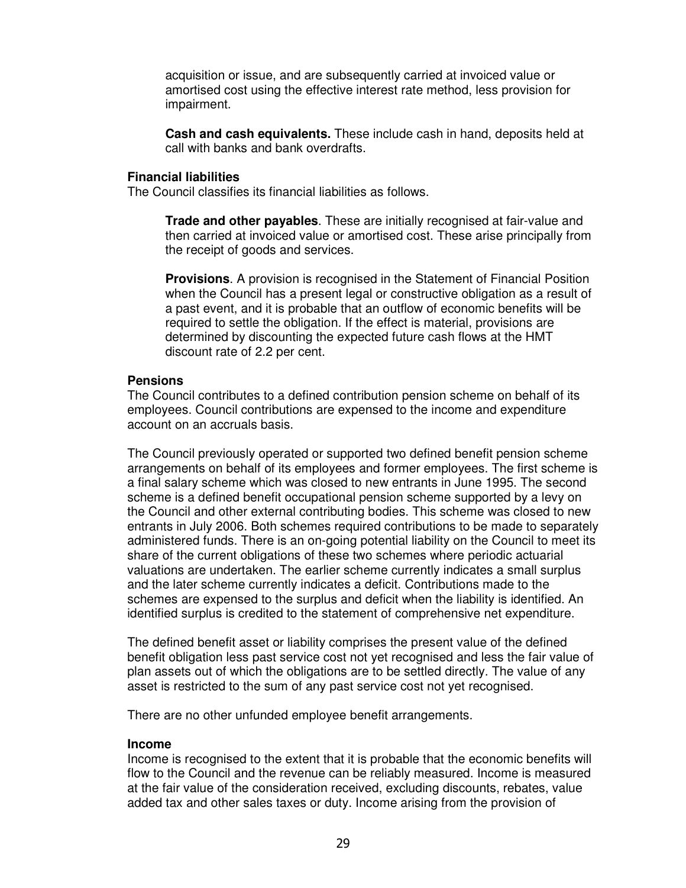acquisition or issue, and are subsequently carried at invoiced value or amortised cost using the effective interest rate method, less provision for impairment.

**Cash and cash equivalents.** These include cash in hand, deposits held at call with banks and bank overdrafts.

#### **Financial liabilities**

The Council classifies its financial liabilities as follows.

**Trade and other payables**. These are initially recognised at fair-value and then carried at invoiced value or amortised cost. These arise principally from the receipt of goods and services.

**Provisions**. A provision is recognised in the Statement of Financial Position when the Council has a present legal or constructive obligation as a result of a past event, and it is probable that an outflow of economic benefits will be required to settle the obligation. If the effect is material, provisions are determined by discounting the expected future cash flows at the HMT discount rate of 2.2 per cent.

#### **Pensions**

The Council contributes to a defined contribution pension scheme on behalf of its employees. Council contributions are expensed to the income and expenditure account on an accruals basis.

The Council previously operated or supported two defined benefit pension scheme arrangements on behalf of its employees and former employees. The first scheme is a final salary scheme which was closed to new entrants in June 1995. The second scheme is a defined benefit occupational pension scheme supported by a levy on the Council and other external contributing bodies. This scheme was closed to new entrants in July 2006. Both schemes required contributions to be made to separately administered funds. There is an on-going potential liability on the Council to meet its share of the current obligations of these two schemes where periodic actuarial valuations are undertaken. The earlier scheme currently indicates a small surplus and the later scheme currently indicates a deficit. Contributions made to the schemes are expensed to the surplus and deficit when the liability is identified. An identified surplus is credited to the statement of comprehensive net expenditure.

The defined benefit asset or liability comprises the present value of the defined benefit obligation less past service cost not yet recognised and less the fair value of plan assets out of which the obligations are to be settled directly. The value of any asset is restricted to the sum of any past service cost not yet recognised.

There are no other unfunded employee benefit arrangements.

#### **Income**

Income is recognised to the extent that it is probable that the economic benefits will flow to the Council and the revenue can be reliably measured. Income is measured at the fair value of the consideration received, excluding discounts, rebates, value added tax and other sales taxes or duty. Income arising from the provision of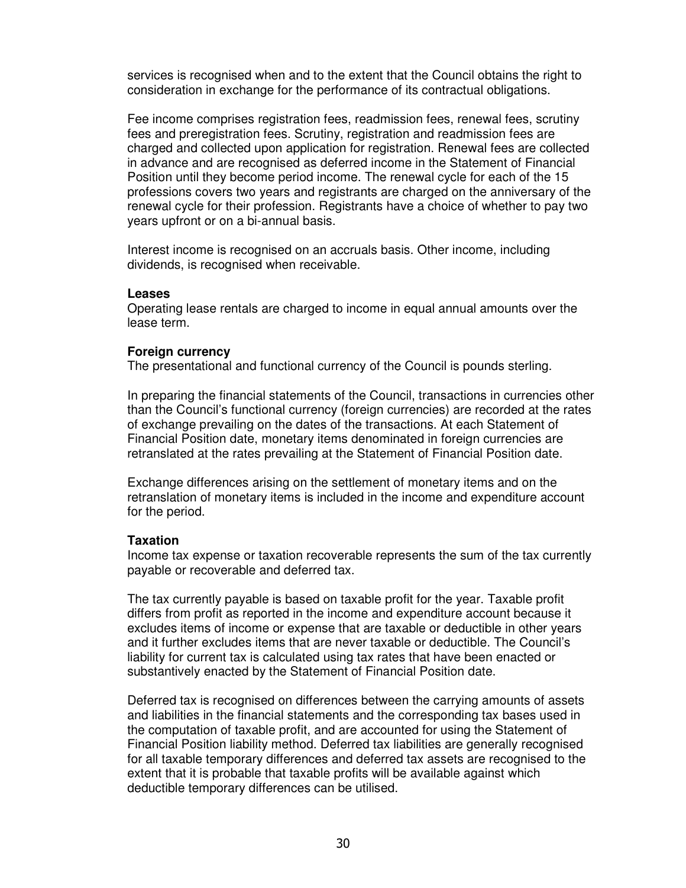services is recognised when and to the extent that the Council obtains the right to consideration in exchange for the performance of its contractual obligations.

Fee income comprises registration fees, readmission fees, renewal fees, scrutiny fees and preregistration fees. Scrutiny, registration and readmission fees are charged and collected upon application for registration. Renewal fees are collected in advance and are recognised as deferred income in the Statement of Financial Position until they become period income. The renewal cycle for each of the 15 professions covers two years and registrants are charged on the anniversary of the renewal cycle for their profession. Registrants have a choice of whether to pay two years upfront or on a bi-annual basis.

Interest income is recognised on an accruals basis. Other income, including dividends, is recognised when receivable.

#### **Leases**

Operating lease rentals are charged to income in equal annual amounts over the lease term.

#### **Foreign currency**

The presentational and functional currency of the Council is pounds sterling.

In preparing the financial statements of the Council, transactions in currencies other than the Council's functional currency (foreign currencies) are recorded at the rates of exchange prevailing on the dates of the transactions. At each Statement of Financial Position date, monetary items denominated in foreign currencies are retranslated at the rates prevailing at the Statement of Financial Position date.

Exchange differences arising on the settlement of monetary items and on the retranslation of monetary items is included in the income and expenditure account for the period.

#### **Taxation**

Income tax expense or taxation recoverable represents the sum of the tax currently payable or recoverable and deferred tax.

The tax currently payable is based on taxable profit for the year. Taxable profit differs from profit as reported in the income and expenditure account because it excludes items of income or expense that are taxable or deductible in other years and it further excludes items that are never taxable or deductible. The Council's liability for current tax is calculated using tax rates that have been enacted or substantively enacted by the Statement of Financial Position date.

Deferred tax is recognised on differences between the carrying amounts of assets and liabilities in the financial statements and the corresponding tax bases used in the computation of taxable profit, and are accounted for using the Statement of Financial Position liability method. Deferred tax liabilities are generally recognised for all taxable temporary differences and deferred tax assets are recognised to the extent that it is probable that taxable profits will be available against which deductible temporary differences can be utilised.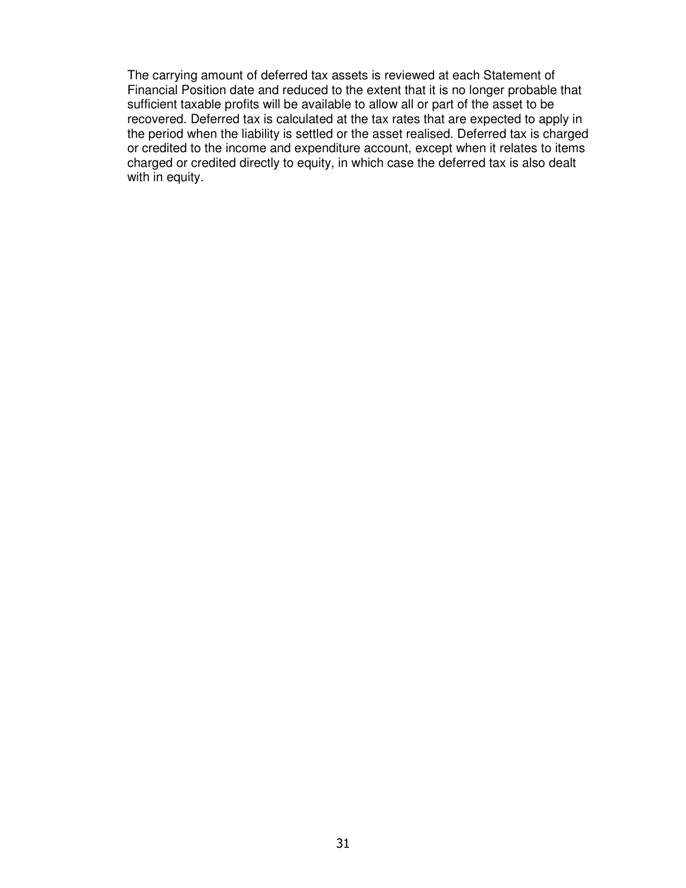The carrying amount of deferred tax assets is reviewed at each Statement of Financial Position date and reduced to the extent that it is no longer probable that sufficient taxable profits will be available to allow all or part of the asset to be recovered. Deferred tax is calculated at the tax rates that are expected to apply in the period when the liability is settled or the asset realised. Deferred tax is charged or credited to the income and expenditure account, except when it relates to items charged or credited directly to equity, in which case the deferred tax is also dealt with in equity.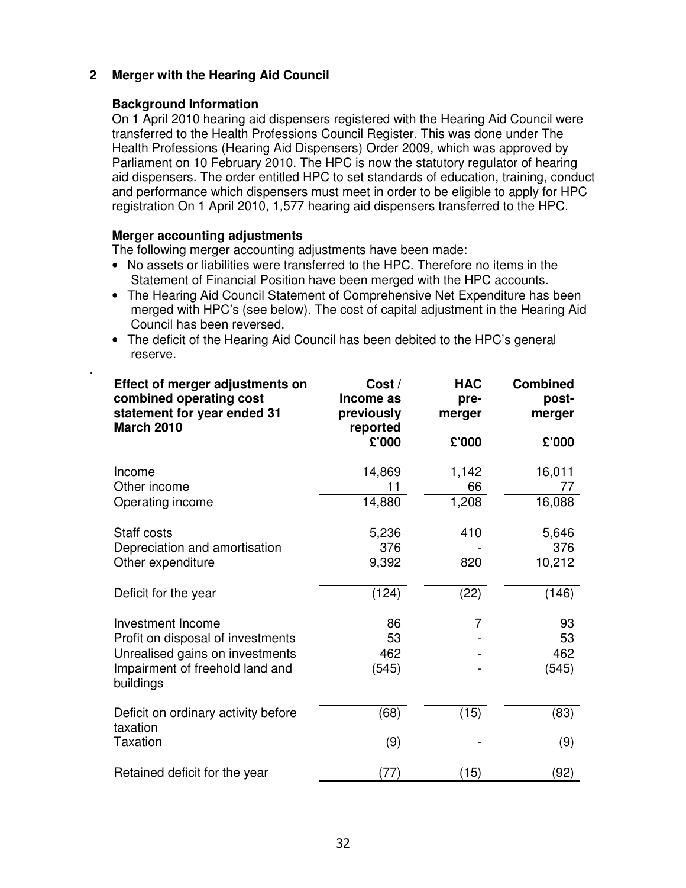## **2 Merger with the Hearing Aid Council**

## **Background Information**

On 1 April 2010 hearing aid dispensers registered with the Hearing Aid Council were transferred to the Health Professions Council Register. This was done under The Health Professions (Hearing Aid Dispensers) Order 2009, which was approved by Parliament on 10 February 2010. The HPC is now the statutory regulator of hearing aid dispensers. The order entitled HPC to set standards of education, training, conduct and performance which dispensers must meet in order to be eligible to apply for HPC registration On 1 April 2010, 1,577 hearing aid dispensers transferred to the HPC.

## **Merger accounting adjustments**

.

The following merger accounting adjustments have been made:

- No assets or liabilities were transferred to the HPC. Therefore no items in the Statement of Financial Position have been merged with the HPC accounts.
- The Hearing Aid Council Statement of Comprehensive Net Expenditure has been merged with HPC's (see below). The cost of capital adjustment in the Hearing Aid Council has been reversed.
- The deficit of the Hearing Aid Council has been debited to the HPC's general reserve.

| Effect of merger adjustments on<br>combined operating cost<br>statement for year ended 31<br><b>March 2010</b> | Cost /<br>Income as<br>previously<br>reported | <b>HAC</b><br>pre-<br>merger | <b>Combined</b><br>post-<br>merger |
|----------------------------------------------------------------------------------------------------------------|-----------------------------------------------|------------------------------|------------------------------------|
|                                                                                                                | £'000                                         | £'000                        | £'000                              |
| Income                                                                                                         | 14,869                                        | 1,142                        | 16,011                             |
| Other income                                                                                                   | 11                                            | 66                           | 77                                 |
| Operating income                                                                                               | 14,880                                        | 1,208                        | 16,088                             |
| Staff costs                                                                                                    | 5,236                                         | 410                          | 5,646                              |
| Depreciation and amortisation                                                                                  | 376                                           |                              | 376                                |
| Other expenditure                                                                                              | 9,392                                         | 820                          | 10,212                             |
| Deficit for the year                                                                                           | (124)                                         | (22)                         | (146)                              |
| Investment Income                                                                                              | 86                                            | 7                            | 93                                 |
| Profit on disposal of investments                                                                              | 53                                            |                              | 53                                 |
| Unrealised gains on investments                                                                                | 462                                           |                              | 462                                |
| Impairment of freehold land and<br>buildings                                                                   | (545)                                         |                              | (545)                              |
| Deficit on ordinary activity before<br>taxation                                                                | (68)                                          | (15)                         | (83)                               |
| <b>Taxation</b>                                                                                                | (9)                                           |                              | (9)                                |
| Retained deficit for the year                                                                                  | (77)                                          | (15)                         | (92)                               |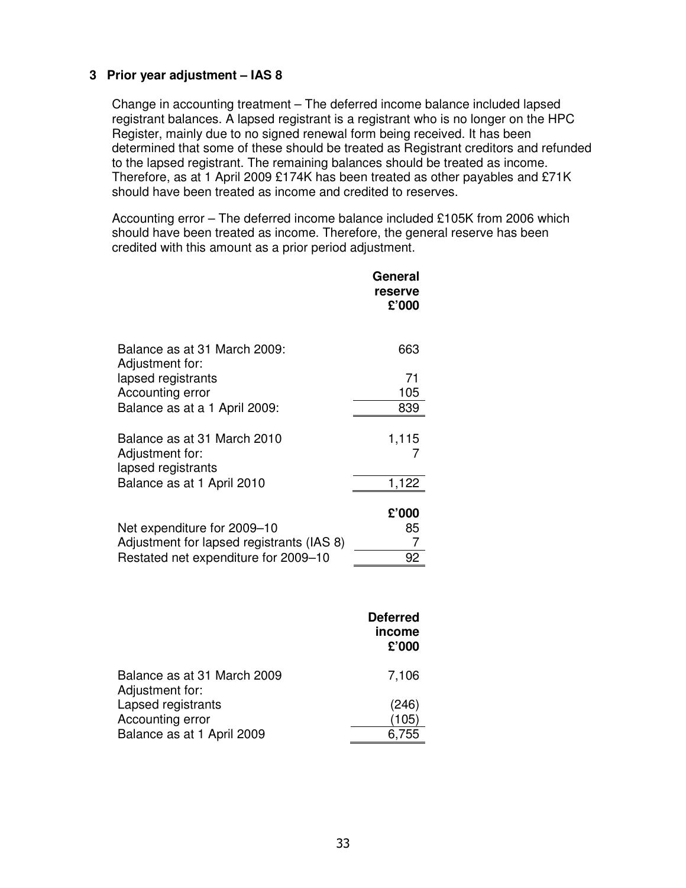## **3 Prior year adjustment – IAS 8**

Change in accounting treatment – The deferred income balance included lapsed registrant balances. A lapsed registrant is a registrant who is no longer on the HPC Register, mainly due to no signed renewal form being received. It has been determined that some of these should be treated as Registrant creditors and refunded to the lapsed registrant. The remaining balances should be treated as income. Therefore, as at 1 April 2009 £174K has been treated as other payables and £71K should have been treated as income and credited to reserves.

Accounting error – The deferred income balance included £105K from 2006 which should have been treated as income. Therefore, the general reserve has been credited with this amount as a prior period adjustment.

|                                                                          | General<br>reserve<br>£'000        |
|--------------------------------------------------------------------------|------------------------------------|
| Balance as at 31 March 2009:<br>Adjustment for:                          | 663                                |
| lapsed registrants                                                       | 71                                 |
| Accounting error<br>Balance as at a 1 April 2009:                        | 105<br>839                         |
|                                                                          |                                    |
| Balance as at 31 March 2010                                              | 1,115                              |
| Adjustment for:<br>lapsed registrants                                    | 7                                  |
| Balance as at 1 April 2010                                               | 1,122                              |
|                                                                          |                                    |
|                                                                          | £'000                              |
| Net expenditure for 2009-10<br>Adjustment for lapsed registrants (IAS 8) | 85<br>7                            |
| Restated net expenditure for 2009-10                                     | 92                                 |
|                                                                          |                                    |
|                                                                          | <b>Deferred</b><br>income<br>£'000 |
| Balance as at 31 March 2009<br>Adjustment for:                           | 7,106                              |

| .<br>Lapsed registrants    | (246) |
|----------------------------|-------|
| Accounting error           | (105) |
| Balance as at 1 April 2009 | 6,755 |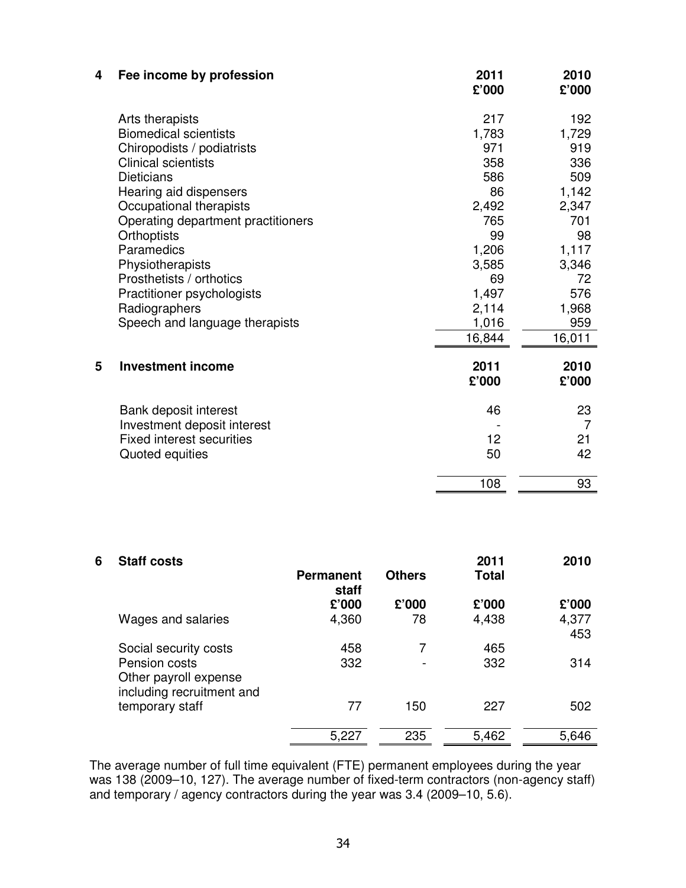| 4 | Fee income by profession                                                                                                                                                                                                                                                                                                                                                                         | 2011<br>£'000                                                                                                    | 2010<br>£'000                                                                                                   |
|---|--------------------------------------------------------------------------------------------------------------------------------------------------------------------------------------------------------------------------------------------------------------------------------------------------------------------------------------------------------------------------------------------------|------------------------------------------------------------------------------------------------------------------|-----------------------------------------------------------------------------------------------------------------|
|   | Arts therapists<br><b>Biomedical scientists</b><br>Chiropodists / podiatrists<br><b>Clinical scientists</b><br><b>Dieticians</b><br>Hearing aid dispensers<br>Occupational therapists<br>Operating department practitioners<br><b>Orthoptists</b><br>Paramedics<br>Physiotherapists<br>Prosthetists / orthotics<br>Practitioner psychologists<br>Radiographers<br>Speech and language therapists | 217<br>1,783<br>971<br>358<br>586<br>86<br>2,492<br>765<br>99<br>1,206<br>3,585<br>69<br>1,497<br>2,114<br>1,016 | 192<br>1,729<br>919<br>336<br>509<br>1,142<br>2,347<br>701<br>98<br>1,117<br>3,346<br>72<br>576<br>1,968<br>959 |
|   |                                                                                                                                                                                                                                                                                                                                                                                                  | 16,844                                                                                                           | 16,011                                                                                                          |
| 5 | <b>Investment income</b>                                                                                                                                                                                                                                                                                                                                                                         | 2011<br>£'000                                                                                                    | 2010<br>£'000                                                                                                   |
|   | Bank deposit interest<br>Investment deposit interest<br><b>Fixed interest securities</b><br>Quoted equities                                                                                                                                                                                                                                                                                      | 46<br>12<br>50                                                                                                   | 23<br>$\overline{7}$<br>21<br>42                                                                                |
|   |                                                                                                                                                                                                                                                                                                                                                                                                  | 108                                                                                                              | 93                                                                                                              |

| 6 | <b>Staff costs</b>                                                  | <b>Permanent</b><br>staff | <b>Others</b> | 2011<br><b>Total</b> | 2010         |
|---|---------------------------------------------------------------------|---------------------------|---------------|----------------------|--------------|
|   |                                                                     | £'000                     | £'000         | £'000                | £'000        |
|   | Wages and salaries                                                  | 4,360                     | 78            | 4,438                | 4,377<br>453 |
|   | Social security costs                                               | 458                       | 7             | 465                  |              |
|   | Pension costs<br>Other payroll expense<br>including recruitment and | 332                       |               | 332                  | 314          |
|   | temporary staff                                                     | 77                        | 150           | 227                  | 502          |
|   |                                                                     | 5,227                     | 235           | 5,462                | 5,646        |

The average number of full time equivalent (FTE) permanent employees during the year was 138 (2009–10, 127). The average number of fixed-term contractors (non-agency staff) and temporary / agency contractors during the year was 3.4 (2009–10, 5.6).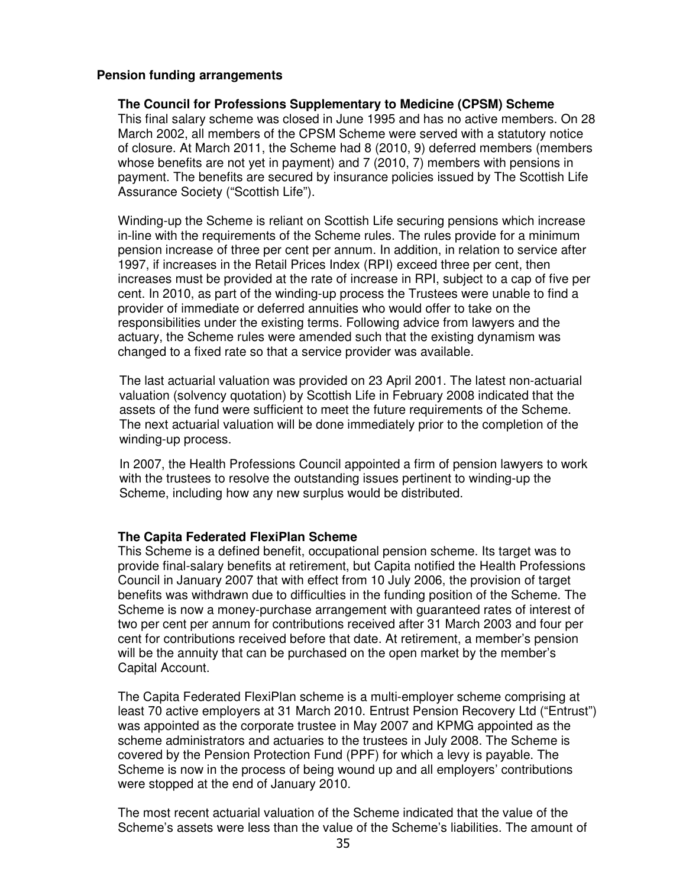#### **Pension funding arrangements**

**The Council for Professions Supplementary to Medicine (CPSM) Scheme**  This final salary scheme was closed in June 1995 and has no active members. On 28 March 2002, all members of the CPSM Scheme were served with a statutory notice of closure. At March 2011, the Scheme had 8 (2010, 9) deferred members (members whose benefits are not yet in payment) and 7 (2010, 7) members with pensions in payment. The benefits are secured by insurance policies issued by The Scottish Life Assurance Society ("Scottish Life").

Winding-up the Scheme is reliant on Scottish Life securing pensions which increase in-line with the requirements of the Scheme rules. The rules provide for a minimum pension increase of three per cent per annum. In addition, in relation to service after 1997, if increases in the Retail Prices Index (RPI) exceed three per cent, then increases must be provided at the rate of increase in RPI, subject to a cap of five per cent. In 2010, as part of the winding-up process the Trustees were unable to find a provider of immediate or deferred annuities who would offer to take on the responsibilities under the existing terms. Following advice from lawyers and the actuary, the Scheme rules were amended such that the existing dynamism was changed to a fixed rate so that a service provider was available.

The last actuarial valuation was provided on 23 April 2001. The latest non-actuarial valuation (solvency quotation) by Scottish Life in February 2008 indicated that the assets of the fund were sufficient to meet the future requirements of the Scheme. The next actuarial valuation will be done immediately prior to the completion of the winding-up process.

In 2007, the Health Professions Council appointed a firm of pension lawyers to work with the trustees to resolve the outstanding issues pertinent to winding-up the Scheme, including how any new surplus would be distributed.

#### **The Capita Federated FlexiPlan Scheme**

This Scheme is a defined benefit, occupational pension scheme. Its target was to provide final-salary benefits at retirement, but Capita notified the Health Professions Council in January 2007 that with effect from 10 July 2006, the provision of target benefits was withdrawn due to difficulties in the funding position of the Scheme. The Scheme is now a money-purchase arrangement with guaranteed rates of interest of two per cent per annum for contributions received after 31 March 2003 and four per cent for contributions received before that date. At retirement, a member's pension will be the annuity that can be purchased on the open market by the member's Capital Account.

The Capita Federated FlexiPlan scheme is a multi-employer scheme comprising at least 70 active employers at 31 March 2010. Entrust Pension Recovery Ltd ("Entrust") was appointed as the corporate trustee in May 2007 and KPMG appointed as the scheme administrators and actuaries to the trustees in July 2008. The Scheme is covered by the Pension Protection Fund (PPF) for which a levy is payable. The Scheme is now in the process of being wound up and all employers' contributions were stopped at the end of January 2010.

The most recent actuarial valuation of the Scheme indicated that the value of the Scheme's assets were less than the value of the Scheme's liabilities. The amount of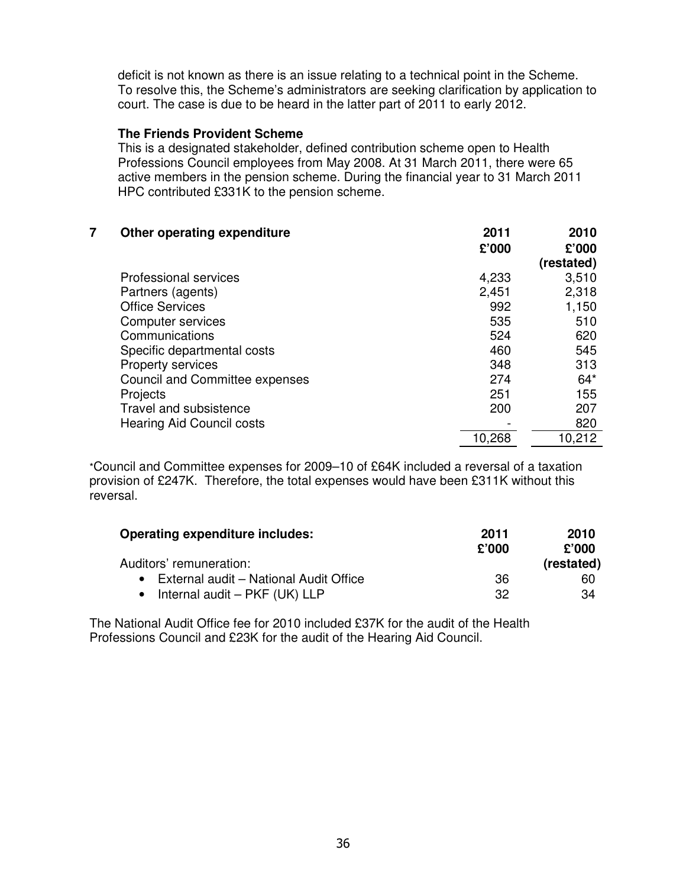deficit is not known as there is an issue relating to a technical point in the Scheme. To resolve this, the Scheme's administrators are seeking clarification by application to court. The case is due to be heard in the latter part of 2011 to early 2012.

#### **The Friends Provident Scheme**

This is a designated stakeholder, defined contribution scheme open to Health Professions Council employees from May 2008. At 31 March 2011, there were 65 active members in the pension scheme. During the financial year to 31 March 2011 HPC contributed £331K to the pension scheme.

| 7 | Other operating expenditure           | 2011   | 2010       |
|---|---------------------------------------|--------|------------|
|   |                                       | £'000  | £'000      |
|   |                                       |        | (restated) |
|   | <b>Professional services</b>          | 4,233  | 3,510      |
|   | Partners (agents)                     | 2,451  | 2,318      |
|   | <b>Office Services</b>                | 992    | 1,150      |
|   | Computer services                     | 535    | 510        |
|   | Communications                        | 524    | 620        |
|   | Specific departmental costs           | 460    | 545        |
|   | Property services                     | 348    | 313        |
|   | <b>Council and Committee expenses</b> | 274    | $64*$      |
|   | Projects                              | 251    | 155        |
|   | Travel and subsistence                | 200    | 207        |
|   | <b>Hearing Aid Council costs</b>      |        | 820        |
|   |                                       | 10,268 | 10,212     |
|   |                                       |        |            |

\*Council and Committee expenses for 2009–10 of £64K included a reversal of a taxation provision of £247K. Therefore, the total expenses would have been £311K without this reversal.

| <b>Operating expenditure includes:</b>   | 2011  | 2010       |
|------------------------------------------|-------|------------|
|                                          | £'000 | £'000      |
| Auditors' remuneration:                  |       | (restated) |
| • External audit - National Audit Office | 36    | 60         |
| • Internal audit $-$ PKF (UK) LLP        | 32    | 34         |

The National Audit Office fee for 2010 included £37K for the audit of the Health Professions Council and £23K for the audit of the Hearing Aid Council.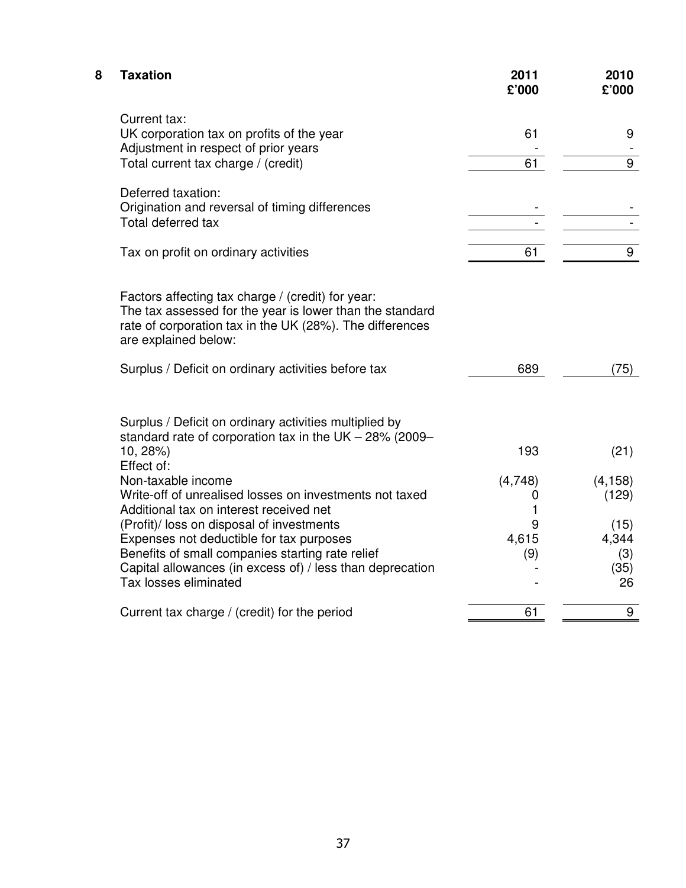| 8 | <b>Taxation</b>                                                                                                                                                                                                                 | 2011<br>£'000     | 2010<br>£'000                      |
|---|---------------------------------------------------------------------------------------------------------------------------------------------------------------------------------------------------------------------------------|-------------------|------------------------------------|
|   | Current tax:<br>UK corporation tax on profits of the year<br>Adjustment in respect of prior years                                                                                                                               | 61                | 9                                  |
|   | Total current tax charge / (credit)                                                                                                                                                                                             | 61                | 9                                  |
|   | Deferred taxation:<br>Origination and reversal of timing differences<br>Total deferred tax                                                                                                                                      |                   |                                    |
|   | Tax on profit on ordinary activities                                                                                                                                                                                            | 61                | 9                                  |
|   | Factors affecting tax charge / (credit) for year:<br>The tax assessed for the year is lower than the standard<br>rate of corporation tax in the UK (28%). The differences<br>are explained below:                               |                   |                                    |
|   | Surplus / Deficit on ordinary activities before tax                                                                                                                                                                             | 689               | (75)                               |
|   | Surplus / Deficit on ordinary activities multiplied by<br>standard rate of corporation tax in the UK $-$ 28% (2009 $-$<br>10, 28%)<br>Effect of:                                                                                | 193               | (21)                               |
|   | Non-taxable income<br>Write-off of unrealised losses on investments not taxed<br>Additional tax on interest received net                                                                                                        | (4,748)<br>0<br>1 | (4, 158)<br>(129)                  |
|   | (Profit)/ loss on disposal of investments<br>Expenses not deductible for tax purposes<br>Benefits of small companies starting rate relief<br>Capital allowances (in excess of) / less than deprecation<br>Tax losses eliminated | 9<br>4,615<br>(9) | (15)<br>4,344<br>(3)<br>(35)<br>26 |
|   | Current tax charge / (credit) for the period                                                                                                                                                                                    | 61                | 9                                  |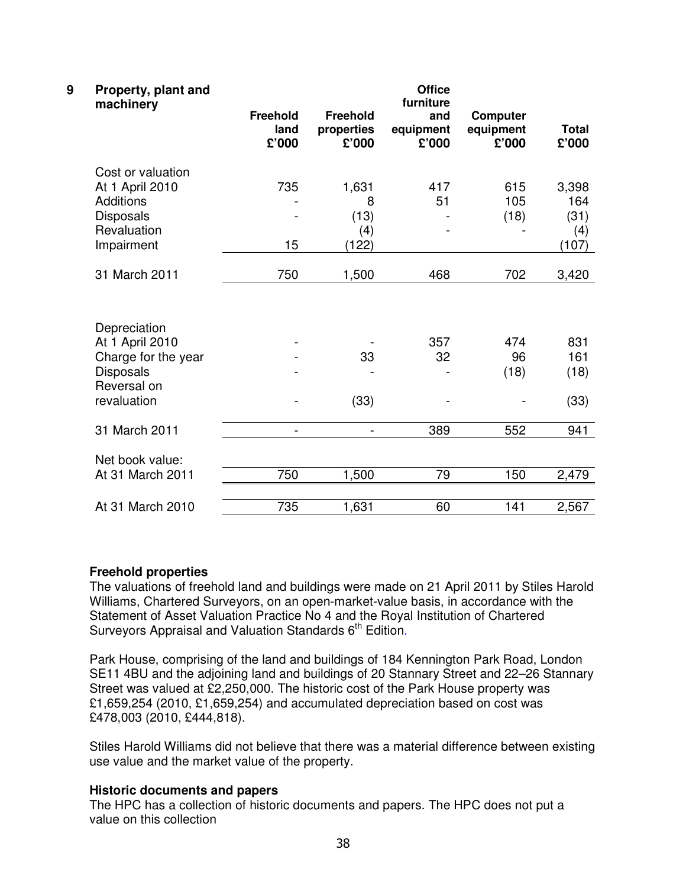| 9 | Property, plant and<br>machinery | <b>Office</b><br>furniture       |                                        |                           |                                       |                       |  |
|---|----------------------------------|----------------------------------|----------------------------------------|---------------------------|---------------------------------------|-----------------------|--|
|   |                                  | <b>Freehold</b><br>land<br>£'000 | <b>Freehold</b><br>properties<br>£'000 | and<br>equipment<br>£'000 | <b>Computer</b><br>equipment<br>£'000 | <b>Total</b><br>£'000 |  |
|   | Cost or valuation                |                                  |                                        |                           |                                       |                       |  |
|   | At 1 April 2010                  | 735                              | 1,631                                  | 417                       | 615                                   | 3,398                 |  |
|   | <b>Additions</b>                 |                                  | 8                                      | 51                        | 105                                   | 164                   |  |
|   | <b>Disposals</b>                 |                                  | (13)                                   |                           | (18)                                  | (31)                  |  |
|   | Revaluation                      |                                  | (4)                                    |                           |                                       | (4)                   |  |
|   | Impairment                       | 15                               | (122)                                  |                           |                                       | (107)                 |  |
|   | 31 March 2011                    | 750                              | 1,500                                  | 468                       | 702                                   | 3,420                 |  |
|   |                                  |                                  |                                        |                           |                                       |                       |  |
|   | Depreciation                     |                                  |                                        |                           |                                       |                       |  |
|   | At 1 April 2010                  |                                  |                                        | 357                       | 474                                   | 831                   |  |
|   | Charge for the year              |                                  | 33                                     | 32                        | 96                                    | 161                   |  |
|   | <b>Disposals</b>                 |                                  |                                        |                           | (18)                                  | (18)                  |  |
|   | Reversal on                      |                                  |                                        |                           |                                       |                       |  |
|   | revaluation                      |                                  | (33)                                   |                           |                                       | (33)                  |  |
|   | 31 March 2011                    | $\overline{a}$                   | $\overline{\phantom{0}}$               | 389                       | 552                                   | 941                   |  |
|   | Net book value:                  |                                  |                                        |                           |                                       |                       |  |
|   | At 31 March 2011                 | 750                              | 1,500                                  | 79                        | 150                                   | 2,479                 |  |
|   |                                  |                                  |                                        |                           |                                       |                       |  |
|   | At 31 March 2010                 | 735                              | 1,631                                  | 60                        | 141                                   | 2,567                 |  |

#### **Freehold properties**

The valuations of freehold land and buildings were made on 21 April 2011 by Stiles Harold Williams, Chartered Surveyors, on an open-market-value basis, in accordance with the Statement of Asset Valuation Practice No 4 and the Royal Institution of Chartered Surveyors Appraisal and Valuation Standards 6<sup>th</sup> Edition.

Park House, comprising of the land and buildings of 184 Kennington Park Road, London SE11 4BU and the adjoining land and buildings of 20 Stannary Street and 22–26 Stannary Street was valued at £2,250,000. The historic cost of the Park House property was £1,659,254 (2010, £1,659,254) and accumulated depreciation based on cost was £478,003 (2010, £444,818).

Stiles Harold Williams did not believe that there was a material difference between existing use value and the market value of the property.

## **Historic documents and papers**

The HPC has a collection of historic documents and papers. The HPC does not put a value on this collection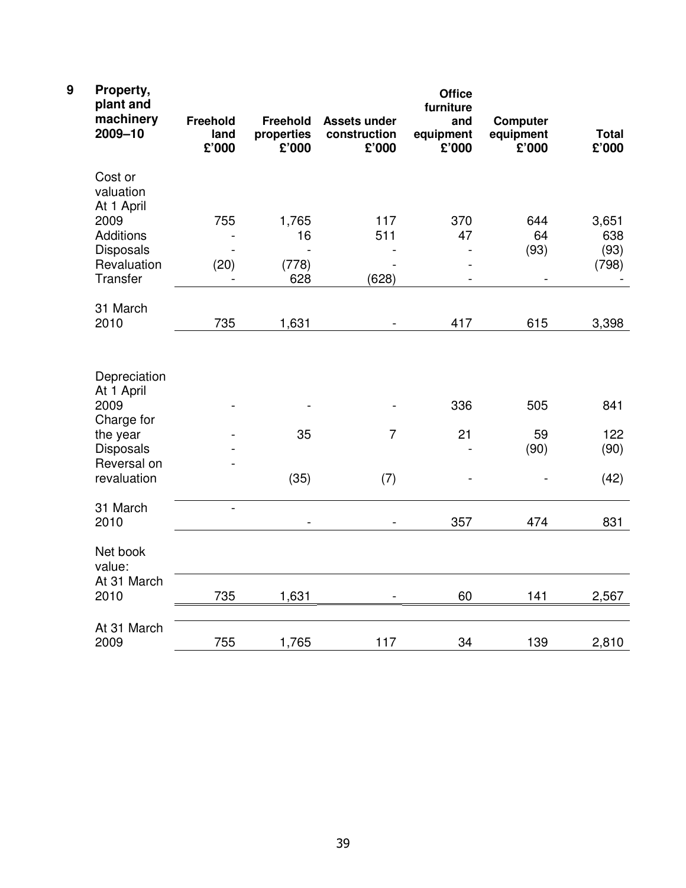| $\boldsymbol{9}$ | Property,<br>plant and<br>machinery<br>2009-10                                   | <b>Freehold</b><br>land<br>£'000 | Freehold<br>properties<br>£'000 | <b>Assets under</b><br>construction<br>£'000 | <b>Office</b><br>furniture<br>and<br>equipment<br>£'000 | <b>Computer</b><br>equipment<br>£'000 | <b>Total</b><br>£'000 |
|------------------|----------------------------------------------------------------------------------|----------------------------------|---------------------------------|----------------------------------------------|---------------------------------------------------------|---------------------------------------|-----------------------|
|                  | Cost or<br>valuation<br>At 1 April                                               |                                  |                                 |                                              |                                                         |                                       |                       |
|                  | 2009                                                                             | 755                              | 1,765                           | 117                                          | 370                                                     | 644                                   | 3,651                 |
|                  | <b>Additions</b>                                                                 | $\overline{\phantom{a}}$         | 16                              | 511                                          | 47                                                      | 64                                    | 638                   |
|                  | <b>Disposals</b><br>Revaluation                                                  | (20)                             | (778)                           |                                              | $\overline{\phantom{a}}$                                | (93)                                  | (93)<br>(798)         |
|                  | Transfer                                                                         |                                  | 628                             | (628)                                        | $\blacksquare$                                          | $\overline{\phantom{a}}$              |                       |
|                  | 31 March                                                                         |                                  |                                 |                                              |                                                         |                                       |                       |
|                  | 2010                                                                             | 735                              | 1,631                           | $\blacksquare$                               | 417                                                     | 615                                   | 3,398                 |
|                  | Depreciation<br>At 1 April<br>2009<br>Charge for<br>the year<br><b>Disposals</b> |                                  | 35                              | $\overline{7}$                               | 336<br>21                                               | 505<br>59<br>(90)                     | 841<br>122<br>(90)    |
|                  | Reversal on                                                                      |                                  |                                 |                                              |                                                         |                                       |                       |
|                  | revaluation                                                                      |                                  | (35)                            | (7)                                          |                                                         |                                       | (42)                  |
|                  | 31 March<br>2010                                                                 | $\overline{a}$                   | $\overline{\phantom{0}}$        | $\blacksquare$                               | 357                                                     | 474                                   | 831                   |
|                  | Net book<br>value:                                                               |                                  |                                 |                                              |                                                         |                                       |                       |
|                  | At 31 March<br>2010                                                              | 735                              | 1,631                           |                                              | 60                                                      | 141                                   | 2,567                 |
|                  | At 31 March<br>2009                                                              | 755                              | 1,765                           | 117                                          | 34                                                      | 139                                   | 2,810                 |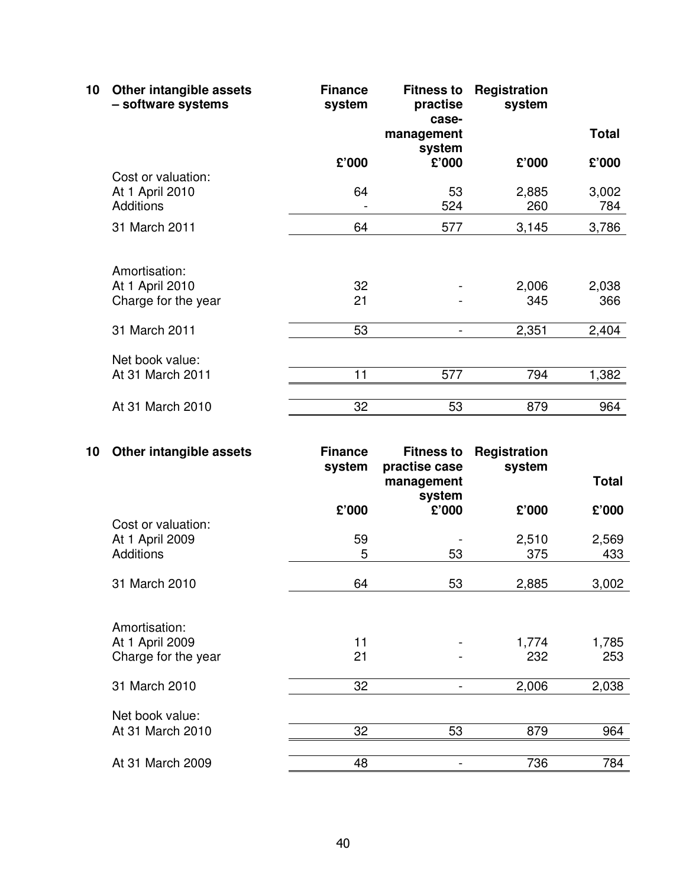| 10 | Other intangible assets<br>- software systems | <b>Finance</b><br>system | <b>Fitness to</b><br>practise<br>case- | Registration<br>system |              |
|----|-----------------------------------------------|--------------------------|----------------------------------------|------------------------|--------------|
|    |                                               |                          | management<br>system                   |                        | <b>Total</b> |
|    |                                               | £'000                    | £'000                                  | £'000                  | £'000        |
|    | Cost or valuation:                            |                          |                                        |                        |              |
|    | At 1 April 2010                               | 64                       | 53                                     | 2,885                  | 3,002        |
|    | <b>Additions</b>                              |                          | 524                                    | 260                    | 784          |
|    | 31 March 2011                                 | 64                       | 577                                    | 3,145                  | 3,786        |
|    |                                               |                          |                                        |                        |              |
|    | Amortisation:                                 |                          |                                        |                        |              |
|    | At 1 April 2010                               | 32                       |                                        | 2,006                  | 2,038        |
|    | Charge for the year                           | 21                       |                                        | 345                    | 366          |
|    | 31 March 2011                                 | 53                       |                                        | 2,351                  | 2,404        |
|    |                                               |                          |                                        |                        |              |
|    | Net book value:                               |                          |                                        |                        |              |
|    | At 31 March 2011                              | 11                       | 577                                    | 794                    | 1,382        |
|    |                                               |                          |                                        |                        |              |
|    | At 31 March 2010                              | 32                       | 53                                     | 879                    | 964          |

| 10 | Other intangible assets | <b>Finance</b><br>system | <b>Fitness to</b><br>practise case | Registration<br>system |              |
|----|-------------------------|--------------------------|------------------------------------|------------------------|--------------|
|    |                         |                          | management<br>system               |                        | <b>Total</b> |
|    |                         | £'000                    | £'000                              | £'000                  | £'000        |
|    | Cost or valuation:      |                          |                                    |                        |              |
|    | At 1 April 2009         | 59                       |                                    | 2,510                  | 2,569        |
|    | <b>Additions</b>        | 5                        | 53                                 | 375                    | 433          |
|    |                         |                          |                                    |                        |              |
|    | 31 March 2010           | 64                       | 53                                 | 2,885                  | 3,002        |
|    |                         |                          |                                    |                        |              |
|    | Amortisation:           |                          |                                    |                        |              |
|    | At 1 April 2009         | 11                       |                                    | 1,774                  | 1,785        |
|    | Charge for the year     | 21                       |                                    | 232                    | 253          |
|    | 31 March 2010           | 32                       |                                    | 2,006                  | 2,038        |
|    | Net book value:         |                          |                                    |                        |              |
|    |                         |                          |                                    |                        |              |
|    | At 31 March 2010        | 32                       | 53                                 | 879                    | 964          |
|    | At 31 March 2009        | 48                       |                                    | 736                    | 784          |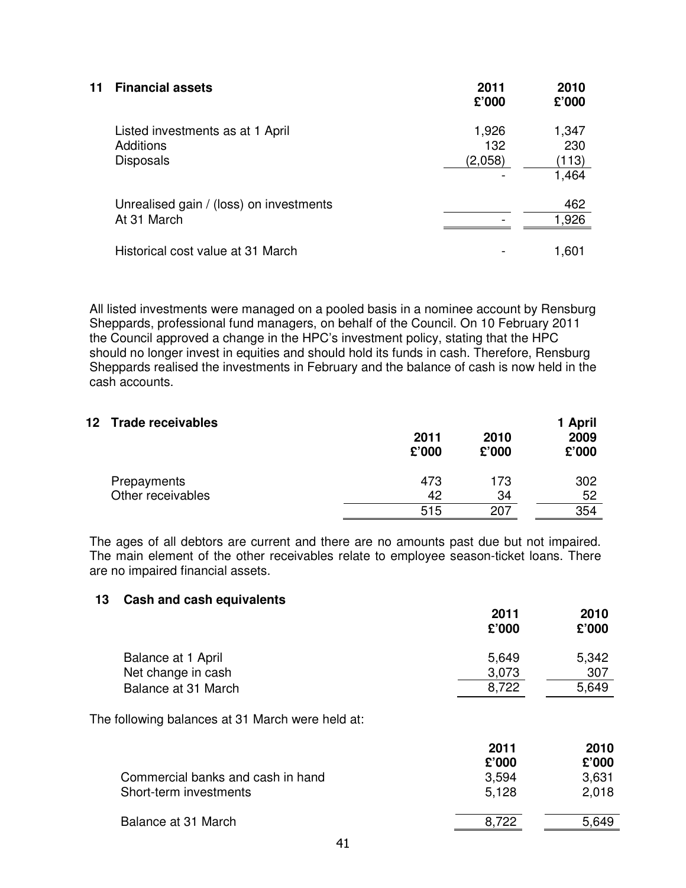| 11 | <b>Financial assets</b>                                           | 2011<br>£'000           | 2010<br>£'000                  |
|----|-------------------------------------------------------------------|-------------------------|--------------------------------|
|    | Listed investments as at 1 April<br>Additions<br><b>Disposals</b> | 1,926<br>132<br>(2,058) | 1,347<br>230<br>(113)<br>1,464 |
|    | Unrealised gain / (loss) on investments<br>At 31 March            |                         | 462<br>1,926                   |
|    | Historical cost value at 31 March                                 |                         | 1,601                          |

All listed investments were managed on a pooled basis in a nominee account by Rensburg Sheppards, professional fund managers, on behalf of the Council. On 10 February 2011 the Council approved a change in the HPC's investment policy, stating that the HPC should no longer invest in equities and should hold its funds in cash. Therefore, Rensburg Sheppards realised the investments in February and the balance of cash is now held in the cash accounts.

| 12 Trade receivables | 2011<br>£'000 | 2010<br>£'000 | 1 April<br>2009<br>£'000 |
|----------------------|---------------|---------------|--------------------------|
| Prepayments          | 473           | 173           | 302                      |
| Other receivables    | 42            | 34            | 52                       |
|                      | 515           | 207           | 354                      |
|                      |               |               |                          |

The ages of all debtors are current and there are no amounts past due but not impaired. The main element of the other receivables relate to employee season-ticket loans. There are no impaired financial assets.

#### **13 Cash and cash equivalents**

|                     | 2011<br>£'000 | 2010<br>£'000 |
|---------------------|---------------|---------------|
| Balance at 1 April  | 5,649         | 5,342         |
| Net change in cash  | 3,073         | 307           |
| Balance at 31 March | 8,722         | 5,649         |

The following balances at 31 March were held at:

|                                   | 2011  | 2010  |
|-----------------------------------|-------|-------|
|                                   | £'000 | £'000 |
| Commercial banks and cash in hand | 3.594 | 3.631 |
| Short-term investments            | 5.128 | 2,018 |
| Balance at 31 March               | 8.722 | 5,649 |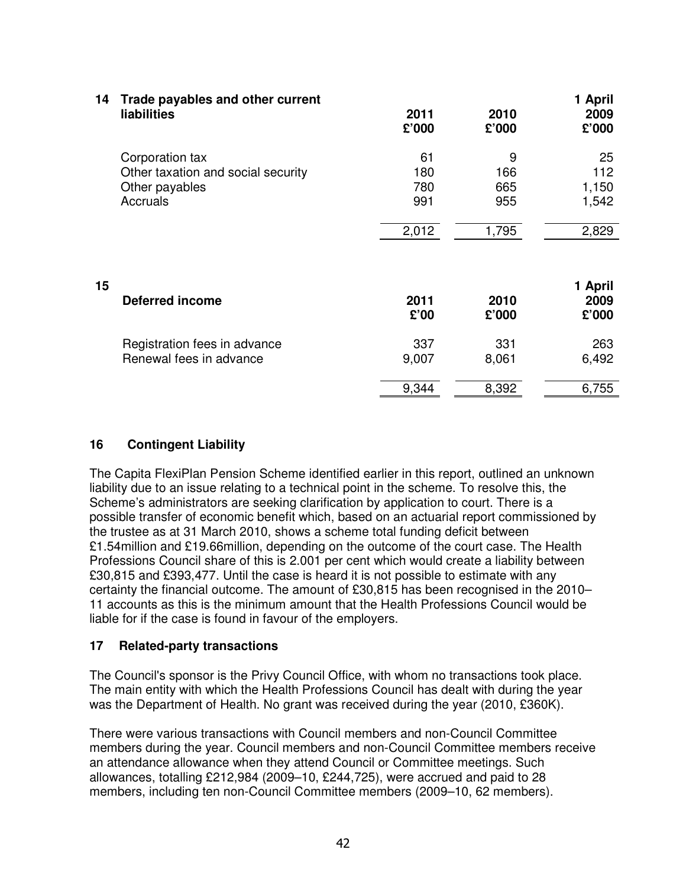| 14 | Trade payables and other current<br><b>liabilities</b>                              | 2011<br>£'000           | 2010<br>£'000          | 1 April<br>2009<br>£'000    |
|----|-------------------------------------------------------------------------------------|-------------------------|------------------------|-----------------------------|
|    | Corporation tax<br>Other taxation and social security<br>Other payables<br>Accruals | 61<br>180<br>780<br>991 | 9<br>166<br>665<br>955 | 25<br>112<br>1,150<br>1,542 |
|    |                                                                                     | 2,012                   | 1,795                  | 2,829                       |
| 15 | <b>Deferred income</b>                                                              | 2011<br>£'00            | 2010<br>£'000          | 1 April<br>2009<br>£'000    |
|    | Registration fees in advance<br>Renewal fees in advance                             | 337<br>9,007            | 331<br>8,061           | 263<br>6,492                |
|    |                                                                                     | 9,344                   | 8,392                  | 6,755                       |

#### **16 Contingent Liability**

The Capita FlexiPlan Pension Scheme identified earlier in this report, outlined an unknown liability due to an issue relating to a technical point in the scheme. To resolve this, the Scheme's administrators are seeking clarification by application to court. There is a possible transfer of economic benefit which, based on an actuarial report commissioned by the trustee as at 31 March 2010, shows a scheme total funding deficit between £1.54million and £19.66million, depending on the outcome of the court case. The Health Professions Council share of this is 2.001 per cent which would create a liability between £30,815 and £393,477. Until the case is heard it is not possible to estimate with any certainty the financial outcome. The amount of £30,815 has been recognised in the 2010– 11 accounts as this is the minimum amount that the Health Professions Council would be liable for if the case is found in favour of the employers.

#### **17 Related-party transactions**

The Council's sponsor is the Privy Council Office, with whom no transactions took place. The main entity with which the Health Professions Council has dealt with during the year was the Department of Health. No grant was received during the year (2010, £360K).

There were various transactions with Council members and non-Council Committee members during the year. Council members and non-Council Committee members receive an attendance allowance when they attend Council or Committee meetings. Such allowances, totalling £212,984 (2009–10, £244,725), were accrued and paid to 28 members, including ten non-Council Committee members (2009–10, 62 members).